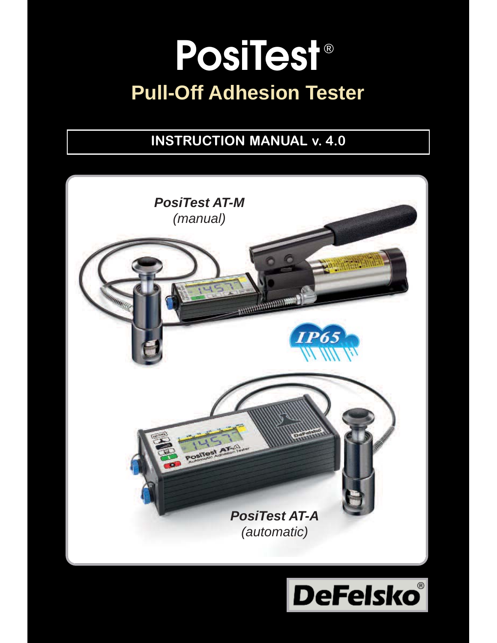# **PosiTest** ®**Pull-Off Adhesion Tester**

## **INSTRUCTION MANUAL v. 4.0**



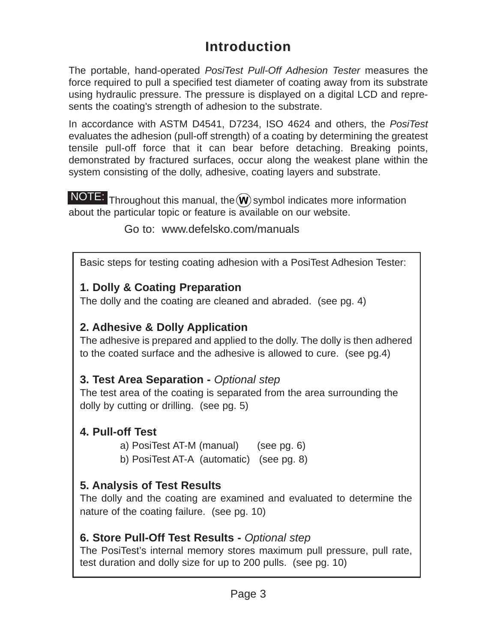## **Introduction Introduction**

The portable, hand-operated *PosiTest Pull-Off Adhesion Tester* measures the force required to pull a specified test diameter of coating away from its substrate using hydraulic pressure. The pressure is displayed on a digital LCD and represents the coating's strength of adhesion to the substrate.

In accordance with ASTM D4541, D7234, ISO 4624 and others, the *PosiTest* evaluates the adhesion (pull-off strength) of a coating by determining the greatest tensile pull-off force that it can bear before detaching. Breaking points, demonstrated by fractured surfaces, occur along the weakest plane within the system consisting of the dolly, adhesive, coating layers and substrate.

NOTE: Throughout this manual, the  $\widehat{W}$  symbol indicates more information about the particular topic or feature is available on our website.

Go to: www.defelsko.com/manuals

Basic steps for testing coating adhesion with a PosiTest Adhesion Tester:

#### **1. Dolly & Coating Preparation**

The dolly and the coating are cleaned and abraded. (see pg. 4)

#### **2. Adhesive & Dolly Application**

The adhesive is prepared and applied to the dolly. The dolly is then adhered to the coated surface and the adhesive is allowed to cure. (see pg.4)

#### **3. Test Area Separation -** *Optional step*

The test area of the coating is separated from the area surrounding the dolly by cutting or drilling. (see pg. 5)

#### **4. Pull-off Test**

a) PosiTest AT-M (manual) (see pg. 6)

b) PosiTest AT-A (automatic) (see pg. 8)

#### **5. Analysis of Test Results**

The dolly and the coating are examined and evaluated to determine the nature of the coating failure. (see pg. 10)

#### **6. Store Pull-Off Test Results -** *Optional step*

The PosiTest's internal memory stores maximum pull pressure, pull rate, test duration and dolly size for up to 200 pulls. (see pg. 10)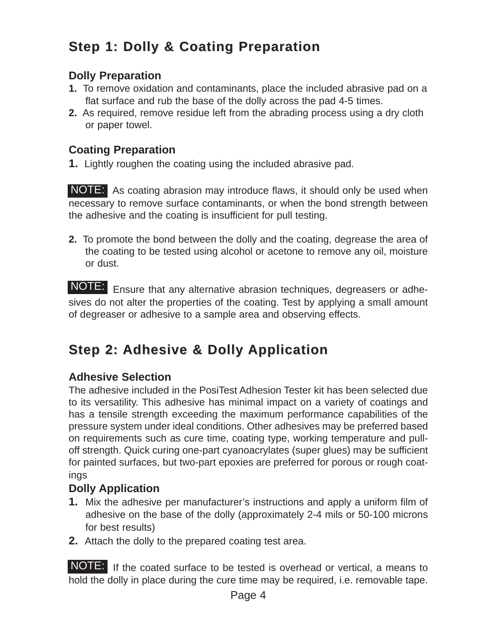## **Step 1: Dolly & Coating Preparation**

#### **Dolly Preparation**

- **1.** To remove oxidation and contaminants, place the included abrasive pad on a flat surface and rub the base of the dolly across the pad 4-5 times.
- **2.** As required, remove residue left from the abrading process using a dry cloth or paper towel.

#### **Coating Preparation**

**1.** Lightly roughen the coating using the included abrasive pad.

NOTE: As coating abrasion may introduce flaws, it should only be used when necessary to remove surface contaminants, or when the bond strength between the adhesive and the coating is insufficient for pull testing.

**2.** To promote the bond between the dolly and the coating, degrease the area of the coating to be tested using alcohol or acetone to remove any oil, moisture or dust.

NOTE: Ensure that any alternative abrasion techniques, degreasers or adhesives do not alter the properties of the coating. Test by applying a small amount of degreaser or adhesive to a sample area and observing effects.

## **Step 2: Adhesive & Dolly Application Step 2: Adhesive & Dolly Application**

#### **Adhesive Selection**

The adhesive included in the PosiTest Adhesion Tester kit has been selected due to its versatility. This adhesive has minimal impact on a variety of coatings and has a tensile strength exceeding the maximum performance capabilities of the pressure system under ideal conditions. Other adhesives may be preferred based on requirements such as cure time, coating type, working temperature and pulloff strength. Quick curing one-part cyanoacrylates (super glues) may be sufficient for painted surfaces, but two-part epoxies are preferred for porous or rough coatings

#### **Dolly Application**

- **1.** Mix the adhesive per manufacturer's instructions and apply a uniform film of adhesive on the base of the dolly (approximately 2-4 mils or 50-100 microns for best results)
- **2.** Attach the dolly to the prepared coating test area.

NOTE: If the coated surface to be tested is overhead or vertical, a means to hold the dolly in place during the cure time may be required, i.e. removable tape.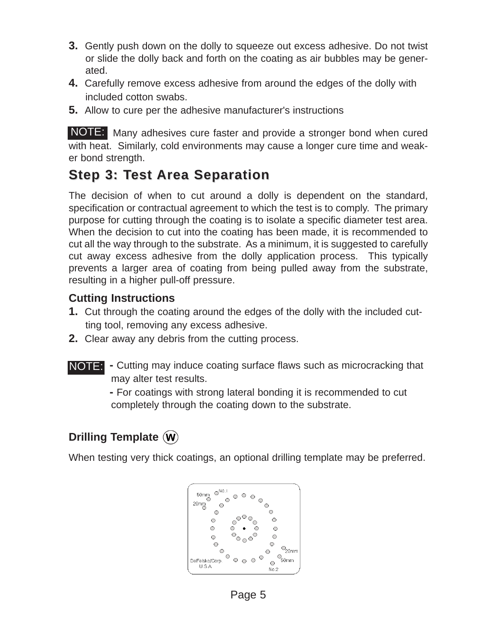- **3.** Gently push down on the dolly to squeeze out excess adhesive. Do not twist or slide the dolly back and forth on the coating as air bubbles may be generated.
- **4.** Carefully remove excess adhesive from around the edges of the dolly with included cotton swabs.
- **5.** Allow to cure per the adhesive manufacturer's instructions

NOTE: Many adhesives cure faster and provide a stronger bond when cured with heat. Similarly, cold environments may cause a longer cure time and weaker bond strength.

## **Step 3: Test Area Separation Step 3: Test Area Separation**

The decision of when to cut around a dolly is dependent on the standard, specification or contractual agreement to which the test is to comply. The primary purpose for cutting through the coating is to isolate a specific diameter test area. When the decision to cut into the coating has been made, it is recommended to cut all the way through to the substrate. As a minimum, it is suggested to carefully cut away excess adhesive from the dolly application process. This typically prevents a larger area of coating from being pulled away from the substrate, resulting in a higher pull-off pressure.

#### **Cutting Instructions**

- **1.** Cut through the coating around the edges of the dolly with the included cutting tool, removing any excess adhesive.
- **2.** Clear away any debris from the cutting process.
- **NOTE:** Cutting may induce coating surface flaws such as microcracking that may alter test results.

**-** For coatings with strong lateral bonding it is recommended to cut completely through the coating down to the substrate.

### **Drilling Template**

When testing very thick coatings, an optional drilling template may be preferred.

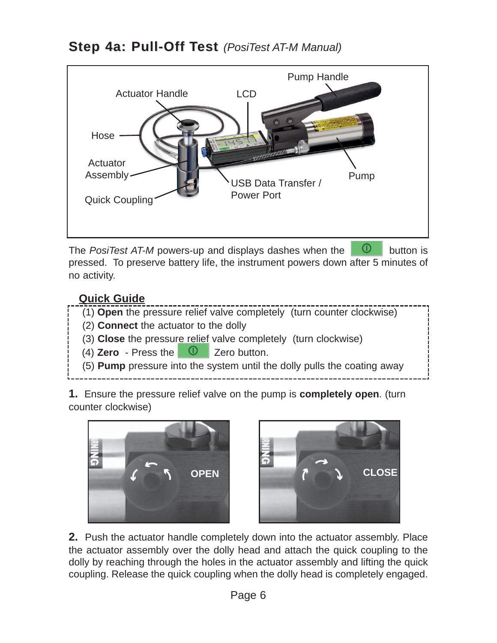## **Step 4a: Pull-Off Test** (PosiTest AT-M Manual)



The *PosiTest AT-M* powers-up and displays dashes when the **D** button is pressed. To preserve battery life, the instrument powers down after 5 minutes of no activity.

#### **Quick Guide**



- (2) **Connect** the actuator to the dolly
- (3) **Close** the pressure relief valve completely (turn clockwise)
- (4) **Zero** Press the **D** Zero button.
- (5) **Pump** pressure into the system until the dolly pulls the coating away

**1.** Ensure the pressure relief valve on the pump is **completely open**. (turn counter clockwise)





**2.** Push the actuator handle completely down into the actuator assembly. Place the actuator assembly over the dolly head and attach the quick coupling to the dolly by reaching through the holes in the actuator assembly and lifting the quick coupling. Release the quick coupling when the dolly head is completely engaged.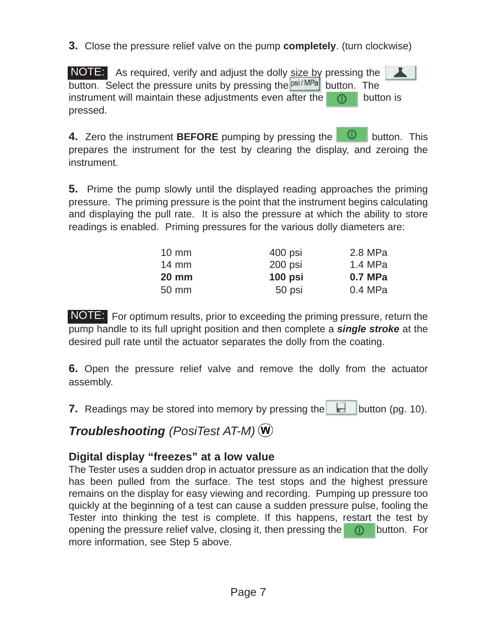**3.** Close the pressure relief valve on the pump **completely**. (turn clockwise)

NOTE: As required, verify and adjust the dolly size by pressing the button. Select the pressure units by pressing the  $P<sub>bsi/MPa</sub>$  button. The instrument will maintain these adjustments even after the  $\Box$  button is pressed.

**4.** Zero the instrument **BEFORE** pumping by pressing the **D** button. This prepares the instrument for the test by clearing the display, and zeroing the instrument.

**5.** Prime the pump slowly until the displayed reading approaches the priming pressure. The priming pressure is the point that the instrument begins calculating and displaying the pull rate. It is also the pressure at which the ability to store readings is enabled. Priming pressures for the various dolly diameters are:

| $10 \text{ mm}$ | 400 psi   | 2.8 MPa |
|-----------------|-----------|---------|
| $14 \text{ mm}$ | 200 psi   | 1.4 MPa |
|                 |           |         |
| $20 \text{ mm}$ | $100$ psi | 0.7 MPa |

NOTE: For optimum results, prior to exceeding the priming pressure, return the pump handle to its full upright position and then complete a *single stroke* at the desired pull rate until the actuator separates the dolly from the coating.

**6.** Open the pressure relief valve and remove the dolly from the actuator assembly.

**7.** Readings may be stored into memory by pressing the button (pg. 10).

## *Troubleshooting (PosiTest AT-M)*

#### **Digital display "freezes" at a low value**

The Tester uses a sudden drop in actuator pressure as an indication that the dolly has been pulled from the surface. The test stops and the highest pressure remains on the display for easy viewing and recording. Pumping up pressure too quickly at the beginning of a test can cause a sudden pressure pulse, fooling the Tester into thinking the test is complete. If this happens, restart the test by opening the pressure relief valve, closing it, then pressing the  $\Box$  button. For more information, see Step 5 above.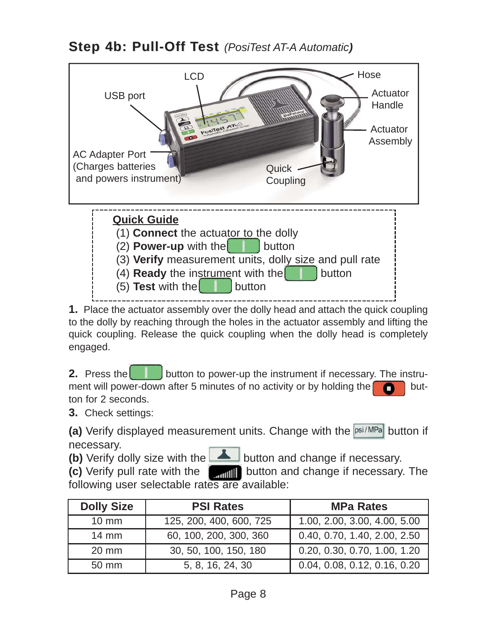**Step 4b: Pull-Off Test** (PosiTest AT-A Automatic)



**1.** Place the actuator assembly over the dolly head and attach the quick coupling to the dolly by reaching through the holes in the actuator assembly and lifting the quick coupling. Release the quick coupling when the dolly head is completely engaged.

**2.** Press the **button to power-up the instrument if necessary. The instru**ment will power-down after 5 minutes of no activity or by holding the  $\Box$  button for 2 seconds.

**3.** Check settings:

(a) Verify displayed measurement units. Change with the psi/MPa button if necessary.

**(b)** Verify dolly size with the **button** and change if necessary.

**(c)** Verify pull rate with the **Button** and change if necessary. The following user selectable rates are available:

| <b>Dolly Size</b> | <b>PSI Rates</b>        | <b>MPa Rates</b>             |
|-------------------|-------------------------|------------------------------|
| $10 \text{ mm}$   | 125, 200, 400, 600, 725 | 1.00, 2.00, 3.00, 4.00, 5.00 |
| $14 \text{ mm}$   | 60, 100, 200, 300, 360  | 0.40, 0.70, 1.40, 2.00, 2.50 |
| $20 \text{ mm}$   | 30, 50, 100, 150, 180   | 0.20, 0.30, 0.70, 1.00, 1.20 |
| 50 mm             | 5, 8, 16, 24, 30        | 0.04, 0.08, 0.12, 0.16, 0.20 |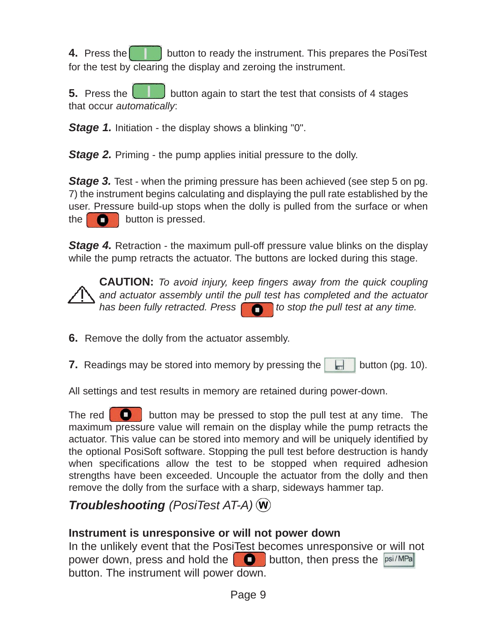**4.** Press the **button to ready the instrument.** This prepares the PosiTest for the test by clearing the display and zeroing the instrument.

**5.** Press the **button again to start the test that consists of 4 stages** that occur *automatically*:

*Stage 1.* Initiation - the display shows a blinking "0".

**Stage 2.** Priming - the pump applies initial pressure to the dolly.

*Stage 3.* Test - when the priming pressure has been achieved (see step 5 on pg. 7) the instrument begins calculating and displaying the pull rate established by the user. Pressure build-up stops when the dolly is pulled from the surface or when the  $\Box$  button is pressed.

**Stage 4.** Retraction - the maximum pull-off pressure value blinks on the display while the pump retracts the actuator. The buttons are locked during this stage.

**CAUTION:** *To avoid injury, keep fingers away from the quick coupling and actuator assembly until the pull test has completed and the actuator* has been fully retracted. Press **the state of the pull test at any time.** 

**6.** Remove the dolly from the actuator assembly.

**7.** Readings may be stored into memory by pressing the  $\|\cdot\|$  button (pg. 10).

All settings and test results in memory are retained during power-down.

The red  $\Box$  button may be pressed to stop the pull test at any time. The maximum pressure value will remain on the display while the pump retracts the actuator. This value can be stored into memory and will be uniquely identified by the optional PosiSoft software. Stopping the pull test before destruction is handy when specifications allow the test to be stopped when required adhesion strengths have been exceeded. Uncouple the actuator from the dolly and then remove the dolly from the surface with a sharp, sideways hammer tap.

## *Troubleshooting (PosiTest AT-A)*

#### **Instrument is unresponsive or will not power down**

In the unlikely event that the PosiTest becomes unresponsive or will not power down, press and hold the  $\Box$  button, then press the  $psi/MPa$ button. The instrument will power down.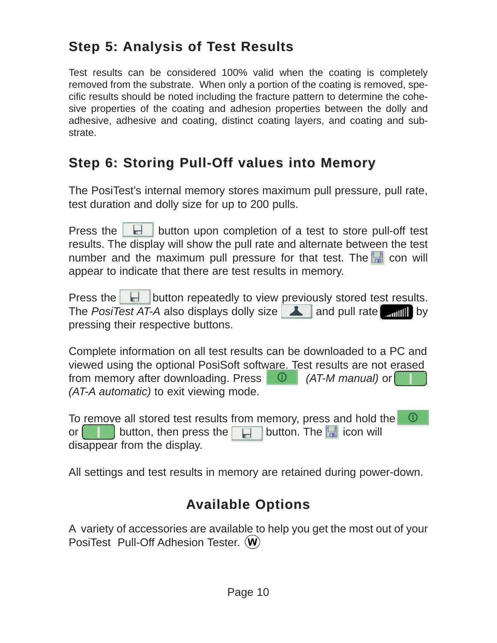## **Step 5: Analysis of Test Results Step 5: Analysis of Test Results**

Test results can be considered 100% valid when the coating is completely removed from the substrate. When only a portion of the coating is removed, specific results should be noted including the fracture pattern to determine the cohesive properties of the coating and adhesion properties between the dolly and adhesive, adhesive and coating, distinct coating layers, and coating and substrate.

## **Step 6: Storing Pull-Off values into Memory**

The PosiTest's internal memory stores maximum pull pressure, pull rate, test duration and dolly size for up to 200 pulls.

Press the  $\Box$  button upon completion of a test to store pull-off test results. The display will show the pull rate and alternate between the test number and the maximum pull pressure for that test. The  $\blacksquare$  con will appear to indicate that there are test results in memory.

Press the  $\Box$  button repeatedly to view previously stored test results. The *PosiTest AT-A* also displays dolly size **A** and pull rate **by** and pull rate and pull by pressing their respective buttons.

Complete information on all test results can be downloaded to a PC and viewed using the optional PosiSoft software. Test results are not erased from memory after downloading. Press *(AT-M manual)* or *(AT-A automatic)* to exit viewing mode.

To remove all stored test results from memory, press and hold the  $\circ$ or **button**, then press the **interest in the intervallent of the intervallent of**  $\mathbf{F}$  **in the intervallent of**  $\mathbf{F}$  **in the interval button. The**  $\mathbf{F}$  **icon will** disappear from the display.

All settings and test results in memory are retained during power-down.

## **Available Options Available Options**

A variety of accessories are available to help you get the most out of your PosiTest Pull-Off Adhesion Tester. (W)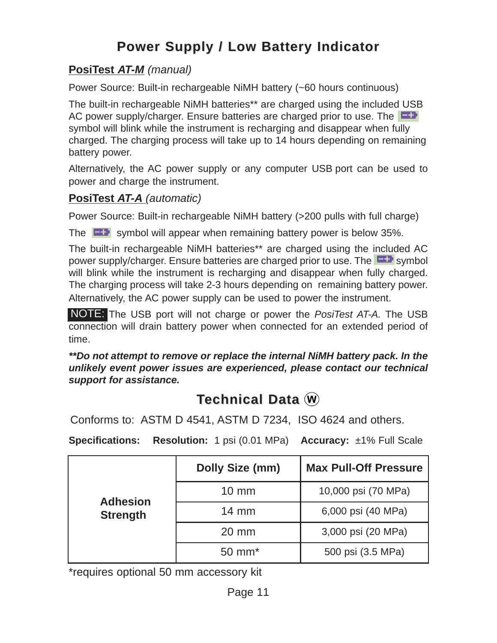## **Power Supply / Low Battery Indicator**

#### **PosiTest** *AT-M (manual)*

Power Source: Built-in rechargeable NiMH battery (~60 hours continuous)

The built-in rechargeable NiMH batteries\*\* are charged using the included USB AC power supply/charger. Ensure batteries are charged prior to use. The symbol will blink while the instrument is recharging and disappear when fully charged. The charging process will take up to 14 hours depending on remaining battery power.

Alternatively, the AC power supply or any computer USB port can be used to power and charge the instrument.

#### **PosiTest** *AT-A (automatic)*

Power Source: Built-in rechargeable NiMH battery (>200 pulls with full charge)

The  $\Box$  symbol will appear when remaining battery power is below 35%.

The built-in rechargeable NiMH batteries\*\* are charged using the included AC power supply/charger. Ensure batteries are charged prior to use. The **Figure** symbol will blink while the instrument is recharging and disappear when fully charged. The charging process will take 2-3 hours depending on remaining battery power. Alternatively, the AC power supply can be used to power the instrument.

NOTE: The USB port will not charge or power the *PosiTest AT-A*. The USB connection will drain battery power when connected for an extended period of time.

*\*\*Do not attempt to remove or replace the internal NiMH battery pack. In the unlikely event power issues are experienced, please contact our technical support for assistance.*

## **Technical Data**  $\omega$

Conforms to: ASTM D 4541, ASTM D 7234, ISO 4624 and others.

**Specifications: Resolution:** 1 psi (0.01 MPa) **Accuracy:** ±1% Full Scale

|                 | Dolly Size (mm)    | <b>Max Pull-Off Pressure</b> |
|-----------------|--------------------|------------------------------|
| <b>Adhesion</b> | $10 \text{ mm}$    | 10,000 psi (70 MPa)          |
| <b>Strength</b> | $14 \text{ mm}$    | 6,000 psi (40 MPa)           |
|                 | $20 \text{ mm}$    | 3,000 psi (20 MPa)           |
|                 | 50 mm <sup>*</sup> | 500 psi (3.5 MPa)            |

\*requires optional 50 mm accessory kit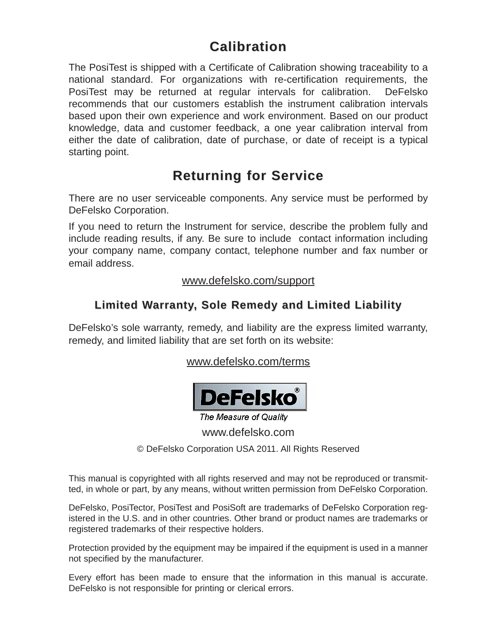## **Calibration Calibration**

The PosiTest is shipped with a Certificate of Calibration showing traceability to a national standard. For organizations with re-certification requirements, the PosiTest may be returned at regular intervals for calibration. DeFelsko recommends that our customers establish the instrument calibration intervals based upon their own experience and work environment. Based on our product knowledge, data and customer feedback, a one year calibration interval from either the date of calibration, date of purchase, or date of receipt is a typical starting point.

## **Returning for Service Returning for Service**

There are no user serviceable components. Any service must be performed by DeFelsko Corporation.

If you need to return the Instrument for service, describe the problem fully and include reading results, if any. Be sure to include contact information including your company name, company contact, telephone number and fax number or email address.

#### www.defelsko.com/support

#### **Limited Warranty, Sole Remedy and Limited Liability Limited Warranty, Sole Remedy and Limited Liability**

DeFelsko's sole warranty, remedy, and liability are the express limited warranty, remedy, and limited liability that are set forth on its website:

www.defelsko.com/terms



The Measure of Quality www.defelsko.com

© DeFelsko Corporation USA 2011. All Rights Reserved

This manual is copyrighted with all rights reserved and may not be reproduced or transmitted, in whole or part, by any means, without written permission from DeFelsko Corporation.

DeFelsko, PosiTector, PosiTest and PosiSoft are trademarks of DeFelsko Corporation registered in the U.S. and in other countries. Other brand or product names are trademarks or registered trademarks of their respective holders.

Protection provided by the equipment may be impaired if the equipment is used in a manner not specified by the manufacturer.

Every effort has been made to ensure that the information in this manual is accurate. DeFelsko is not responsible for printing or clerical errors.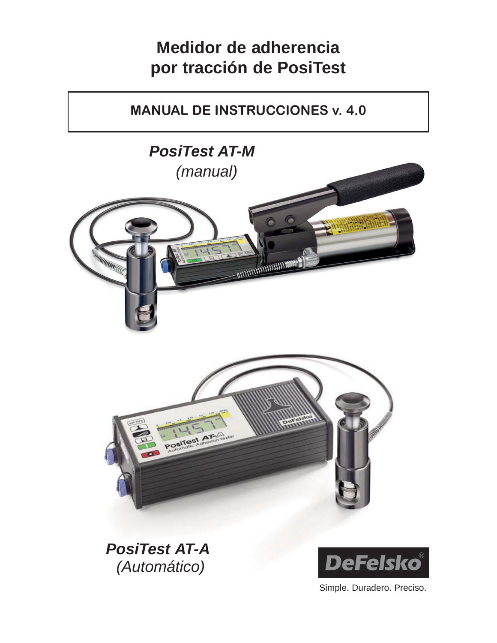## **Medidor de adherencia por tracción de PosiTest**

## **MANUAL DE INSTRUCCIONES v. 4.0**



*PosiTest AT-A (Automático)*



Simple. Duradero. Preciso.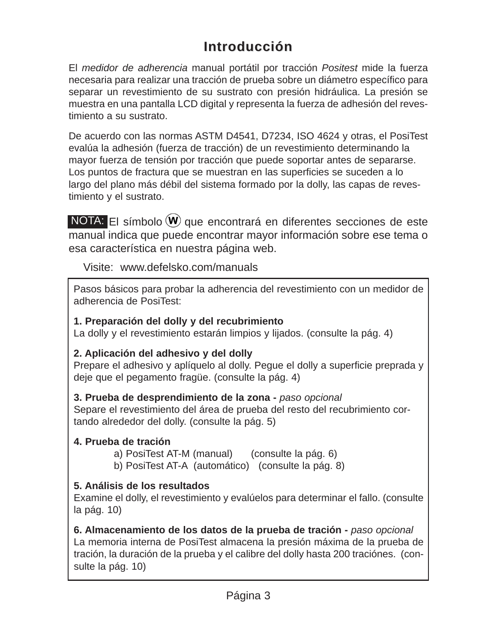## **Introducción Introducción**

El *medidor de adherencia* manual portátil por tracción *Positest* mide la fuerza necesaria para realizar una tracción de prueba sobre un diámetro específico para separar un revestimiento de su sustrato con presión hidráulica. La presión se muestra en una pantalla LCD digital y representa la fuerza de adhesión del revestimiento a su sustrato.

De acuerdo con las normas ASTM D4541, D7234, ISO 4624 y otras, el PosiTest evalúa la adhesión (fuerza de tracción) de un revestimiento determinando la mayor fuerza de tensión por tracción que puede soportar antes de separarse. Los puntos de fractura que se muestran en las superficies se suceden a lo largo del plano más débil del sistema formado por la dolly, las capas de revestimiento y el sustrato.

NOTA: El símbolo  $\mathbf W$  que encontrará en diferentes secciones de este manual indica que puede encontrar mayor información sobre ese tema o esa característica en nuestra página web.

Visite: www.defelsko.com/manuals

Pasos básicos para probar la adherencia del revestimiento con un medidor de adherencia de PosiTest:

#### **1. Preparación del dolly y del recubrimiento**

La dolly y el revestimiento estarán limpios y lijados. (consulte la pág. 4)

#### **2. Aplicación del adhesivo y del dolly**

Prepare el adhesivo y aplíquelo al dolly. Pegue el dolly a superficie preprada y deje que el pegamento fragüe. (consulte la pág. 4)

#### **3. Prueba de desprendimiento de la zona -** *paso opcional*

Separe el revestimiento del área de prueba del resto del recubrimiento cortando alrededor del dolly. (consulte la pág. 5)

#### **4. Prueba de tración**

a) PosiTest AT-M (manual) (consulte la pág. 6)

b) PosiTest AT-A (automático) (consulte la pág. 8)

#### **5. Análisis de los resultados**

Examine el dolly, el revestimiento y evalúelos para determinar el fallo. (consulte la pág. 10)

**6. Almacenamiento de los datos de la prueba de tración -** *paso opcional* La memoria interna de PosiTest almacena la presión máxima de la prueba de tración, la duración de la prueba y el calibre del dolly hasta 200 traciónes. (consulte la pág. 10)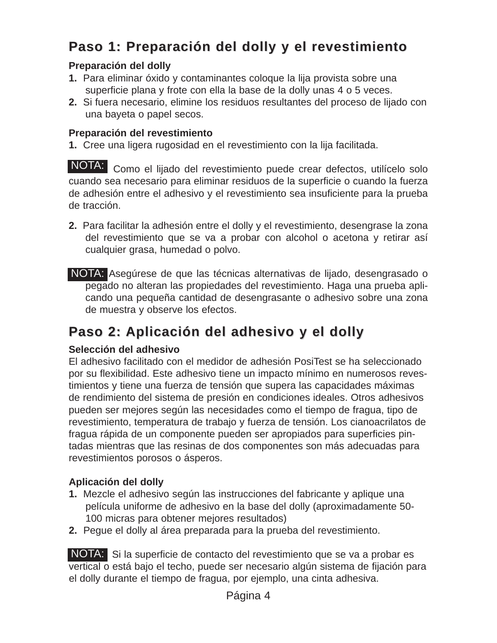## **Paso 1: Preparación del dolly y el revestimiento Paso 1: Preparación del dolly y el revestimiento**

#### **Preparación del dolly**

- **1.** Para eliminar óxido y contaminantes coloque la lija provista sobre una superficie plana y frote con ella la base de la dolly unas 4 o 5 veces.
- **2.** Si fuera necesario, elimine los residuos resultantes del proceso de lijado con una bayeta o papel secos.

#### **Preparación del revestimiento**

**1.** Cree una ligera rugosidad en el revestimiento con la lija facilitada.

NOTA: Como el lijado del revestimiento puede crear defectos, utilícelo solo cuando sea necesario para eliminar residuos de la superficie o cuando la fuerza de adhesión entre el adhesivo y el revestimiento sea insuficiente para la prueba de tracción.

- **2.** Para facilitar la adhesión entre el dolly y el revestimiento, desengrase la zona del revestimiento que se va a probar con alcohol o acetona y retirar así cualquier grasa, humedad o polvo.
- NOTA: Asegúrese de que las técnicas alternativas de lijado, desengrasado o pegado no alteran las propiedades del revestimiento. Haga una prueba aplicando una pequeña cantidad de desengrasante o adhesivo sobre una zona de muestra y observe los efectos.

## **Paso 2: Aplicación del adhesivo y el dolly Paso 2: Aplicación del adhesivo y el dolly**

#### **Selección del adhesivo**

El adhesivo facilitado con el medidor de adhesión PosiTest se ha seleccionado por su flexibilidad. Este adhesivo tiene un impacto mínimo en numerosos revestimientos y tiene una fuerza de tensión que supera las capacidades máximas de rendimiento del sistema de presión en condiciones ideales. Otros adhesivos pueden ser mejores según las necesidades como el tiempo de fragua, tipo de revestimiento, temperatura de trabajo y fuerza de tensión. Los cianoacrilatos de fragua rápida de un componente pueden ser apropiados para superficies pintadas mientras que las resinas de dos componentes son más adecuadas para revestimientos porosos o ásperos.

#### **Aplicación del dolly**

- **1.** Mezcle el adhesivo según las instrucciones del fabricante y aplique una película uniforme de adhesivo en la base del dolly (aproximadamente 50- 100 micras para obtener mejores resultados)
- **2.** Pegue el dolly al área preparada para la prueba del revestimiento.

NOTA: Si la superficie de contacto del revestimiento que se va a probar es vertical o está bajo el techo, puede ser necesario algún sistema de fijación para el dolly durante el tiempo de fragua, por ejemplo, una cinta adhesiva.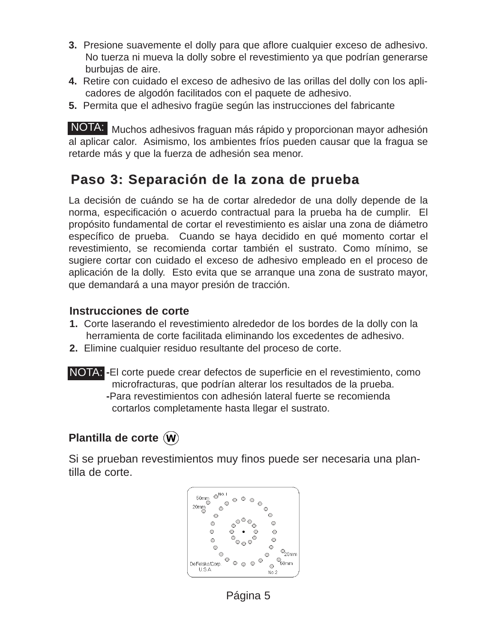- **3.** Presione suavemente el dolly para que aflore cualquier exceso de adhesivo. No tuerza ni mueva la dolly sobre el revestimiento ya que podrían generarse burbujas de aire.
- **4.** Retire con cuidado el exceso de adhesivo de las orillas del dolly con los aplicadores de algodón facilitados con el paquete de adhesivo.
- **5.** Permita que el adhesivo fragüe según las instrucciones del fabricante

NOTA: Muchos adhesivos fraguan más rápido y proporcionan mayor adhesión al aplicar calor. Asimismo, los ambientes fríos pueden causar que la fragua se retarde más y que la fuerza de adhesión sea menor.

## **Paso 3: Separación de la zona de prueba Paso 3: Separación de la zona de prueba**

La decisión de cuándo se ha de cortar alrededor de una dolly depende de la norma, especificación o acuerdo contractual para la prueba ha de cumplir. El propósito fundamental de cortar el revestimiento es aislar una zona de diámetro específico de prueba. Cuando se haya decidido en qué momento cortar el revestimiento, se recomienda cortar también el sustrato. Como mínimo, se sugiere cortar con cuidado el exceso de adhesivo empleado en el proceso de aplicación de la dolly. Esto evita que se arranque una zona de sustrato mayor, que demandará a una mayor presión de tracción.

#### **Instrucciones de corte**

- **1.** Corte laserando el revestimiento alrededor de los bordes de la dolly con la herramienta de corte facilitada eliminando los excedentes de adhesivo.
- **2.** Elimine cualquier residuo resultante del proceso de corte.
- NOTA: -El corte puede crear defectos de superficie en el revestimiento, como microfracturas, que podrían alterar los resultados de la prueba. **-**Para revestimientos con adhesión lateral fuerte se recomienda cortarlos completamente hasta llegar el sustrato.

#### **Plantilla de corte**

Si se prueban revestimientos muy finos puede ser necesaria una plantilla de corte.



Página 5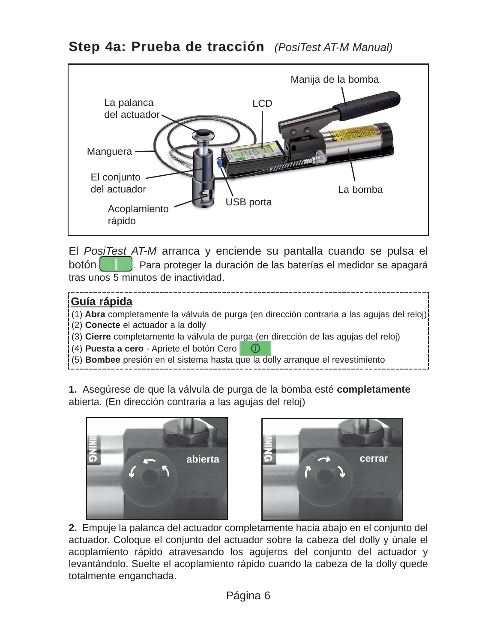

El *PosiTest AT-M* arranca y enciende su pantalla cuando se pulsa el botón **de las espaci**dades la duración de las baterías el medidor se apagará tras unos 5 minutos de inactividad.

#### **Guía rápida**

- (1) **Abra** completamente la válvula de purga (en dirección contraria a las agujas del reloj)
- (2) **Conecte** el actuador a la dolly
- (3) **Cierre** completamente la válvula de purga (en dirección de las agujas del reloj)
- (4) **Puesta a cero** Apriete el botón Cero (D)
- (5) **Bombee** presión en el sistema hasta que la dolly arranque el revestimiento

**1.** Asegúrese de que la válvula de purga de la bomba esté **completamente** abierta. (En dirección contraria a las agujas del reloj)





**2.** Empuje la palanca del actuador completamente hacia abajo en el conjunto del actuador. Coloque el conjunto del actuador sobre la cabeza del dolly y únale el acoplamiento rápido atravesando los agujeros del conjunto del actuador y levantándolo. Suelte el acoplamiento rápido cuando la cabeza de la dolly quede totalmente enganchada.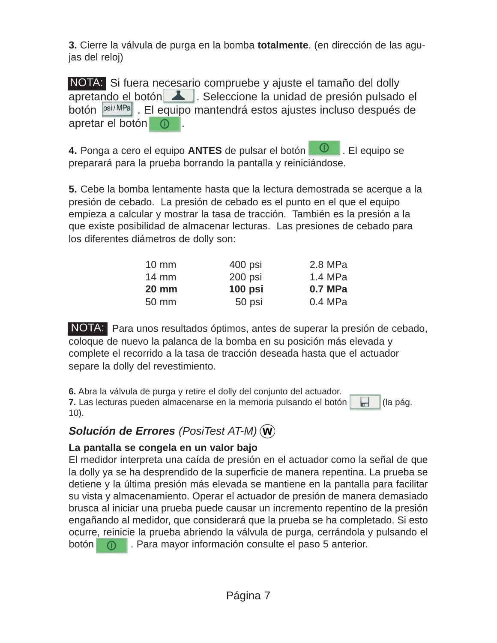**3.** Cierre la válvula de purga en la bomba **totalmente**. (en dirección de las agujas del reloj)

NOTA: Si fuera necesario compruebe y ajuste el tamaño del dolly apretando el botón **1998**. Seleccione la unidad de presión pulsado el botón psi/MPa . El equipo mantendrá estos ajustes incluso después de apretar el botón  $\circledcirc$ 

**4.** Ponga a cero el equipo **ANTES** de pulsar el botón **. 0** . El equipo se preparará para la prueba borrando la pantalla y reiniciándose.

**5.** Cebe la bomba lentamente hasta que la lectura demostrada se acerque a la presión de cebado. La presión de cebado es el punto en el que el equipo empieza a calcular y mostrar la tasa de tracción. También es la presión a la que existe posibilidad de almacenar lecturas. Las presiones de cebado para los diferentes diámetros de dolly son:

| $10 \text{ mm}$ | 400 psi   | 2.8 MPa |
|-----------------|-----------|---------|
| $14 \text{ mm}$ | 200 psi   | 1.4 MPa |
| <b>20 mm</b>    | $100$ psi | 0.7 MPa |
| 50 mm           | 50 psi    | 0.4 MPa |

NOTA: Para unos resultados óptimos, antes de superar la presión de cebado, coloque de nuevo la palanca de la bomba en su posición más elevada y complete el recorrido a la tasa de tracción deseada hasta que el actuador separe la dolly del revestimiento.

**6.** Abra la válvula de purga y retire el dolly del conjunto del actuador. **7.** Las lecturas pueden almacenarse en la memoria pulsando el botón  $\|$  (la pág. 10).

#### *Solución de Errores (PosiTest AT-M)*

#### **La pantalla se congela en un valor bajo**

El medidor interpreta una caída de presión en el actuador como la señal de que la dolly ya se ha desprendido de la superficie de manera repentina. La prueba se detiene y la última presión más elevada se mantiene en la pantalla para facilitar su vista y almacenamiento. Operar el actuador de presión de manera demasiado brusca al iniciar una prueba puede causar un incremento repentino de la presión engañando al medidor, que considerará que la prueba se ha completado. Si esto ocurre, reinicie la prueba abriendo la válvula de purga, cerrándola y pulsando el botón **. O .** Para mayor información consulte el paso 5 anterior.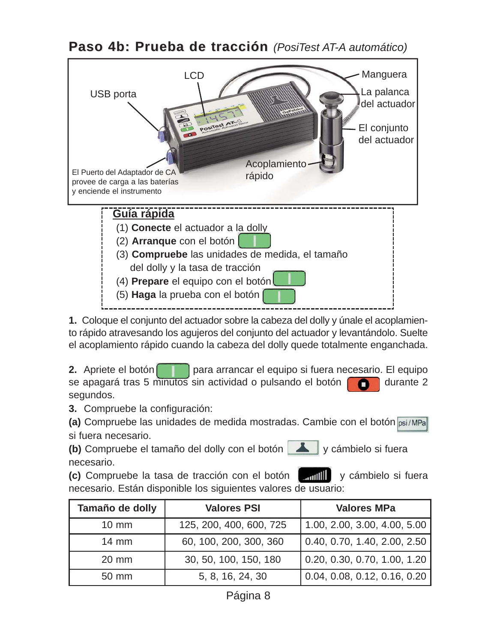**Paso 4b: Prueba de tracción** *(PosiTest AT-A automático)* 



**1.** Coloque el conjunto del actuador sobre la cabeza del dolly y únale el acoplamiento rápido atravesando los agujeros del conjunto del actuador y levantándolo. Suelte el acoplamiento rápido cuando la cabeza del dolly quede totalmente enganchada.

**2.** Apriete el botón **para arrancar el equipo si fuera necesario. El equipo** se apagará tras 5 minutos sin actividad o pulsando el botón **durante 2** segundos.

**3.** Compruebe la configuración:

**(a)** Compruebe las unidades de medida mostradas. Cambie con el botón si fuera necesario.

**(b)** Compruebe el tamaño del dolly con el botón **y solution** y cámbielo si fuera necesario.

**(c)** Compruebe la tasa de tracción con el botón **integral de la tracción de la contenta** y cámbielo si fuera necesario. Están disponible los siguientes valores de usuario:

| Tamaño de dolly | <b>Valores PSI</b>      | <b>Valores MPa</b>                   |
|-----------------|-------------------------|--------------------------------------|
| $10 \text{ mm}$ | 125, 200, 400, 600, 725 | 1.00, 2.00, 3.00, 4.00, 5.00         |
| $14 \text{ mm}$ | 60, 100, 200, 300, 360  | $\vert$ 0.40, 0.70, 1.40, 2.00, 2.50 |
| 20 mm           | 30, 50, 100, 150, 180   | $\vert$ 0.20, 0.30, 0.70, 1.00, 1.20 |
| 50 mm           | 5, 8, 16, 24, 30        | 0.04, 0.08, 0.12, 0.16, 0.20         |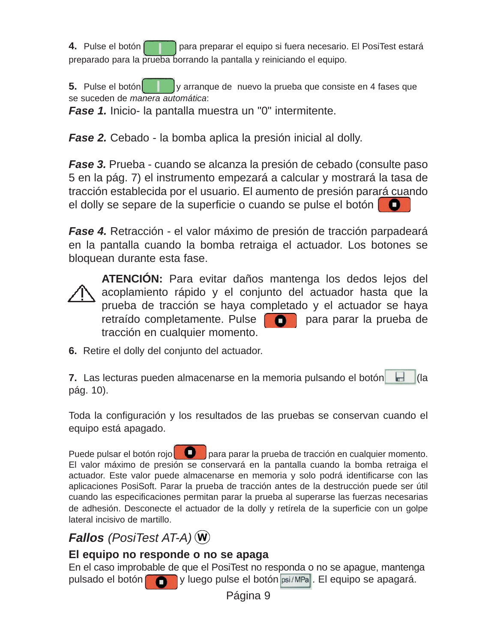**4.** Pulse el botón **para preparar el equipo si fuera necesario. El PosiTest estará** preparado para la prueba borrando la pantalla y reiniciando el equipo.

**5.** Pulse el botón y arranque de nuevo la prueba que consiste en 4 fases que se suceden de *manera automática*:

*Fase 1.* Inicio- la pantalla muestra un "0" intermitente.

*Fase 2.* Cebado - la bomba aplica la presión inicial al dolly.

*Fase 3.* Prueba - cuando se alcanza la presión de cebado (consulte paso 5 en la pág. 7) el instrumento empezará a calcular y mostrará la tasa de tracción establecida por el usuario. El aumento de presión parará cuando el dolly se separe de la superficie o cuando se pulse el botón

*Fase 4.* Retracción - el valor máximo de presión de tracción parpadeará en la pantalla cuando la bomba retraiga el actuador. Los botones se bloquean durante esta fase.



**ATENCIÓN:** Para evitar daños mantenga los dedos lejos del acoplamiento rápido y el conjunto del actuador hasta que la prueba de tracción se haya completado y el actuador se haya retraído completamente. Pulse **para parar la prueba de** tracción en cualquier momento.

**6.** Retire el dolly del conjunto del actuador.

**7.** Las lecturas pueden almacenarse en la memoria pulsando el botón de la la pág. 10).

Toda la configuración y los resultados de las pruebas se conservan cuando el equipo está apagado.

Puede pulsar el botón rojo  $\Box$  para parar la prueba de tracción en cualquier momento. El valor máximo de presión se conservará en la pantalla cuando la bomba retraiga el actuador. Este valor puede almacenarse en memoria y solo podrá identificarse con las aplicaciones PosiSoft. Parar la prueba de tracción antes de la destrucción puede ser útil cuando las especificaciones permitan parar la prueba al superarse las fuerzas necesarias de adhesión. Desconecte el actuador de la dolly y retírela de la superficie con un golpe lateral incisivo de martillo.

## *Fallos (PosiTest AT-A)*

#### **El equipo no responde o no se apaga**

En el caso improbable de que el PosiTest no responda o no se apague, mantenga pulsado el botón v luego pulse el botón psi/MPa. El equipo se apagará.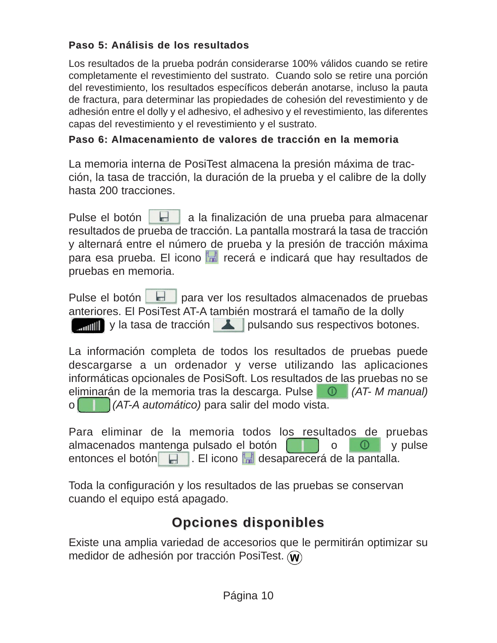#### **Paso 5: Análisis de los resultados Paso 5: Análisis de los resultados**

Los resultados de la prueba podrán considerarse 100% válidos cuando se retire completamente el revestimiento del sustrato. Cuando solo se retire una porción del revestimiento, los resultados específicos deberán anotarse, incluso la pauta de fractura, para determinar las propiedades de cohesión del revestimiento y de adhesión entre el dolly y el adhesivo, el adhesivo y el revestimiento, las diferentes capas del revestimiento y el revestimiento y el sustrato.

#### **Paso 6: Almacenamiento de valores de tracción en la memoria Paso 6: Almacenamiento de valores de tracción en la memoria**

La memoria interna de PosiTest almacena la presión máxima de tracción, la tasa de tracción, la duración de la prueba y el calibre de la dolly hasta 200 tracciones.

Pulse el botón **a la finalización de una prueba para almacenar** resultados de prueba de tracción. La pantalla mostrará la tasa de tracción y alternará entre el número de prueba y la presión de tracción máxima para esa prueba. El icono **recerá e indicará que hay resultados de** pruebas en memoria.

Pulse el botón **bulha** para ver los resultados almacenados de pruebas anteriores. El PosiTest AT-A también mostrará el tamaño de la dolly w ill y la tasa de tracción **A** pulsando sus respectivos botones.

La información completa de todos los resultados de pruebas puede descargarse a un ordenador y verse utilizando las aplicaciones informáticas opcionales de PosiSoft. Los resultados de las pruebas no se eliminarán de la memoria tras la descarga. Pulse **(AT- M manual)**<br>o (**AT-A** automático) para salir del modo vista o *(AT-A automático)* para salir del modo vista.

Para eliminar de la memoria todos los resultados de pruebas almacenados mantenga pulsado el botón  $\begin{bmatrix} 1 & 0 & 0 \\ 0 & 0 & y \end{bmatrix}$  y pulse entonces el botón . El icono desaparecerá de la pantalla.

Toda la configuración y los resultados de las pruebas se conservan cuando el equipo está apagado.

## **Opciones disponibles Opciones disponibles**

Existe una amplia variedad de accesorios que le permitirán optimizar su medidor de adhesión por tracción PosiTest. (w)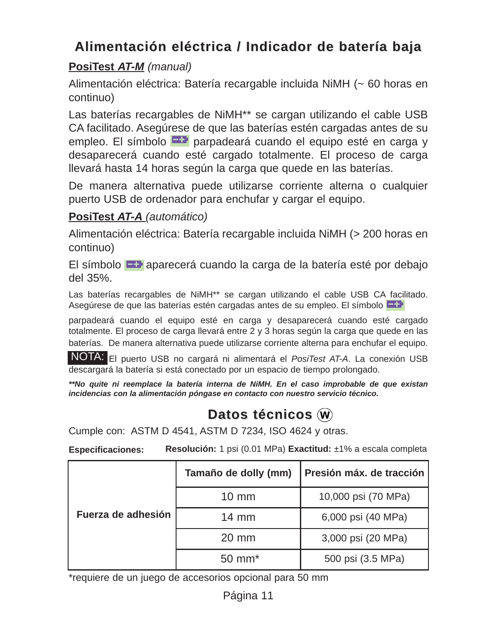## **Alimentación eléctrica / Indicador de batería baja Alimentación eléctrica / Indicador de batería baja**

#### **PosiTest** *AT-M (manual)*

Alimentación eléctrica: Batería recargable incluida NiMH (~ 60 horas en continuo)

Las baterías recargables de NiMH\*\* se cargan utilizando el cable USB CA facilitado. Asegúrese de que las baterías estén cargadas antes de su empleo. El símbolo **Fal** parpadeará cuando el equipo esté en carga y desaparecerá cuando esté cargado totalmente. El proceso de carga llevará hasta 14 horas según la carga que quede en las baterías.

De manera alternativa puede utilizarse corriente alterna o cualquier puerto USB de ordenador para enchufar y cargar el equipo.

#### **PosiTest** *AT-A (automático)*

Alimentación eléctrica: Batería recargable incluida NiMH (> 200 horas en continuo)

El símbolo  $\Box$  aparecerá cuando la carga de la batería esté por debajo del 35%.

Las baterías recargables de NiMH<sup>\*\*</sup> se cargan utilizando el cable USB CA facilitado. Asegúrese de que las baterías estén cargadas antes de su empleo. El símbolo

parpadeará cuando el equipo esté en carga y desaparecerá cuando esté cargado totalmente. El proceso de carga llevará entre 2 y 3 horas según la carga que quede en las baterías. De manera alternativa puede utilizarse corriente alterna para enchufar el equipo.

El puerto USB no cargará ni alimentará el *PosiTest AT-A*. La conexión USB NOTA:descargará la batería si está conectado por un espacio de tiempo prolongado.

*\*\*No quite ni reemplace la batería interna de NiMH. En el caso improbable de que existan incidencias con la alimentación póngase en contacto con nuestro servicio técnico.*

## **Datos técnicos** (**w**)

Cumple con: ASTM D 4541, ASTM D 7234, ISO 4624 y otras.

**Especificaciones: Resolución:** 1 psi (0.01 MPa) **Exactitud:** ±1% a escala completa

|                    | Tamaño de dolly (mm) | Presión máx. de tracción |
|--------------------|----------------------|--------------------------|
|                    | $10 \text{ mm}$      | 10,000 psi (70 MPa)      |
| Fuerza de adhesión | $14 \text{ mm}$      | 6,000 psi (40 MPa)       |
|                    | $20 \text{ mm}$      | 3,000 psi (20 MPa)       |
|                    | $50 \text{ mm}^*$    | 500 psi (3.5 MPa)        |

\*requiere de un juego de accesorios opcional para 50 mm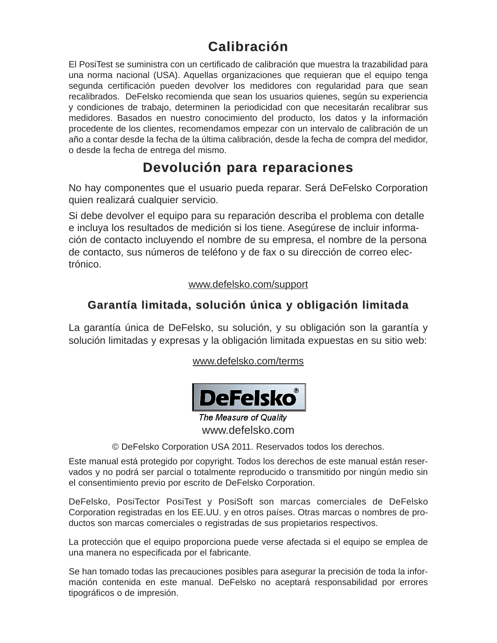## **Calibración Calibración**

El PosiTest se suministra con un certificado de calibración que muestra la trazabilidad para una norma nacional (USA). Aquellas organizaciones que requieran que el equipo tenga segunda certificación pueden devolver los medidores con regularidad para que sean recalibrados. DeFelsko recomienda que sean los usuarios quienes, según su experiencia y condiciones de trabajo, determinen la periodicidad con que necesitarán recalibrar sus medidores. Basados en nuestro conocimiento del producto, los datos y la información procedente de los clientes, recomendamos empezar con un intervalo de calibración de un año a contar desde la fecha de la última calibración, desde la fecha de compra del medidor, o desde la fecha de entrega del mismo.

## **Devolución para reparaciones Devolución para reparaciones**

No hay componentes que el usuario pueda reparar. Será DeFelsko Corporation quien realizará cualquier servicio.

Si debe devolver el equipo para su reparación describa el problema con detalle e incluya los resultados de medición si los tiene. Asegúrese de incluir información de contacto incluyendo el nombre de su empresa, el nombre de la persona de contacto, sus números de teléfono y de fax o su dirección de correo electrónico.

#### www.defelsko.com/support

#### **Garantía limitada, solución única y obligación limitada Garantía limitada, solución única y obligación limitada**

La garantía única de DeFelsko, su solución, y su obligación son la garantía y solución limitadas y expresas y la obligación limitada expuestas en su sitio web:

www.defelsko.com/terms



The Measure of Quality www.defelsko.com

© DeFelsko Corporation USA 2011. Reservados todos los derechos.

Este manual está protegido por copyright. Todos los derechos de este manual están reservados y no podrá ser parcial o totalmente reproducido o transmitido por ningún medio sin el consentimiento previo por escrito de DeFelsko Corporation.

DeFelsko, PosiTector PosiTest y PosiSoft son marcas comerciales de DeFelsko Corporation registradas en los EE.UU. y en otros países. Otras marcas o nombres de productos son marcas comerciales o registradas de sus propietarios respectivos.

La protección que el equipo proporciona puede verse afectada si el equipo se emplea de una manera no especificada por el fabricante.

Se han tomado todas las precauciones posibles para asegurar la precisión de toda la información contenida en este manual. DeFelsko no aceptará responsabilidad por errores tipográficos o de impresión.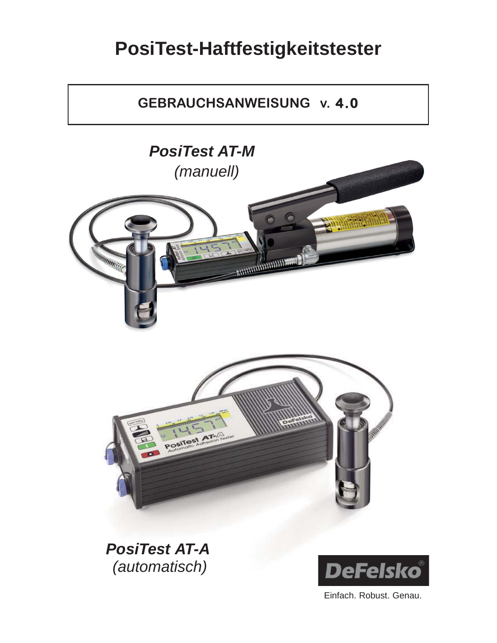## **PosiTest-Haftfestigkeitstester**

## **GEBRAUCHSANWEISUNG v. 4.0**



*PosiTest AT-A (automatisch)*



Einfach. Robust. Genau.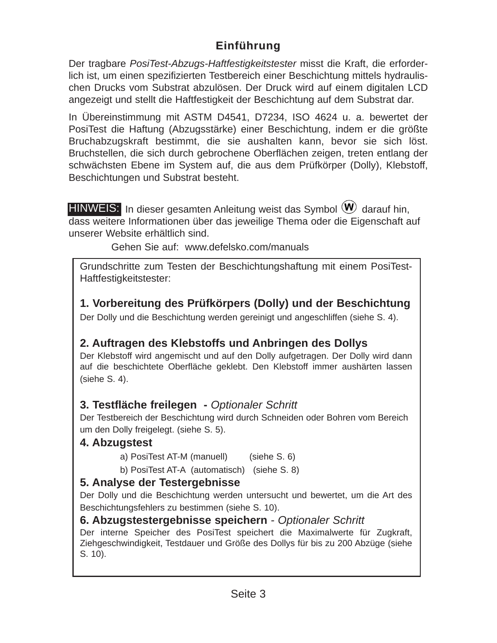#### **Einführung Einführung**

Der tragbare *PosiTest-Abzugs-Haftfestigkeitstester* misst die Kraft, die erforderlich ist, um einen spezifizierten Testbereich einer Beschichtung mittels hydraulischen Drucks vom Substrat abzulösen. Der Druck wird auf einem digitalen LCD angezeigt und stellt die Haftfestigkeit der Beschichtung auf dem Substrat dar.

In Übereinstimmung mit ASTM D4541, D7234, ISO 4624 u. a. bewertet der PosiTest die Haftung (Abzugsstärke) einer Beschichtung, indem er die größte Bruchabzugskraft bestimmt, die sie aushalten kann, bevor sie sich löst. Bruchstellen, die sich durch gebrochene Oberflächen zeigen, treten entlang der schwächsten Ebene im System auf, die aus dem Prüfkörper (Dolly), Klebstoff, Beschichtungen und Substrat besteht.

 $HINWEIS:$  In dieser gesamten Anleitung weist das Symbol  $W$  darauf hin, dass weitere Informationen über das jeweilige Thema oder die Eigenschaft auf unserer Website erhältlich sind.

Gehen Sie auf: www.defelsko.com/manuals

Grundschritte zum Testen der Beschichtungshaftung mit einem PosiTest-Haftfestigkeitstester:

**1. Vorbereitung des Prüfkörpers (Dolly) und der Beschichtung**

Der Dolly und die Beschichtung werden gereinigt und angeschliffen (siehe S. 4).

#### **2. Auftragen des Klebstoffs und Anbringen des Dollys**

Der Klebstoff wird angemischt und auf den Dolly aufgetragen. Der Dolly wird dann auf die beschichtete Oberfläche geklebt. Den Klebstoff immer aushärten lassen (siehe S. 4).

#### **3. Testfläche freilegen -** *Optionaler Schritt*

Der Testbereich der Beschichtung wird durch Schneiden oder Bohren vom Bereich um den Dolly freigelegt. (siehe S. 5).

#### **4. Abzugstest**

- a) PosiTest AT-M (manuell) (siehe S. 6)
- b) PosiTest AT-A (automatisch) (siehe S. 8)

#### **5. Analyse der Testergebnisse**

Der Dolly und die Beschichtung werden untersucht und bewertet, um die Art des Beschichtungsfehlers zu bestimmen (siehe S. 10).

#### **6. Abzugstestergebnisse speichern** *- Optionaler Schritt*

Der interne Speicher des PosiTest speichert die Maximalwerte für Zugkraft, Ziehgeschwindigkeit, Testdauer und Größe des Dollys für bis zu 200 Abzüge (siehe S. 10).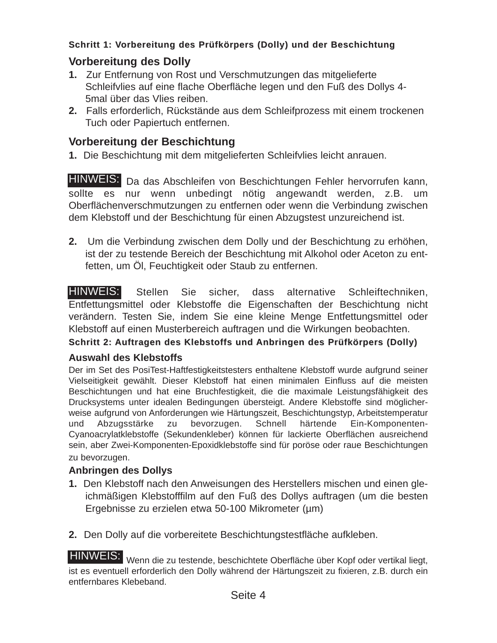#### Schritt 1: Vorbereitung des Prüfkörpers (Dolly) und der Beschichtung

#### **Vorbereitung des Dolly**

- **1.** Zur Entfernung von Rost und Verschmutzungen das mitgelieferte Schleifvlies auf eine flache Oberfläche legen und den Fuß des Dollys 4- 5mal über das Vlies reiben.
- **2.** Falls erforderlich, Rückstände aus dem Schleifprozess mit einem trockenen Tuch oder Papiertuch entfernen.

#### **Vorbereitung der Beschichtung**

**1.** Die Beschichtung mit dem mitgelieferten Schleifvlies leicht anrauen.

HINWEIS: Da das Abschleifen von Beschichtungen Fehler hervorrufen kann, sollte es nur wenn unbedingt nötig angewandt werden, z.B. um Oberflächenverschmutzungen zu entfernen oder wenn die Verbindung zwischen dem Klebstoff und der Beschichtung für einen Abzugstest unzureichend ist.

**2.** Um die Verbindung zwischen dem Dolly und der Beschichtung zu erhöhen, ist der zu testende Bereich der Beschichtung mit Alkohol oder Aceton zu entfetten, um Öl, Feuchtigkeit oder Staub zu entfernen.

Stellen Sie sicher, dass alternative Schleiftechniken, Entfettungsmittel oder Klebstoffe die Eigenschaften der Beschichtung nicht verändern. Testen Sie, indem Sie eine kleine Menge Entfettungsmittel oder Klebstoff auf einen Musterbereich auftragen und die Wirkungen beobachten. HINWEIS:

#### **Schritt 2: Auftragen des Klebstoffs und Anbringen des Prüfkörpers (Dolly) Schritt 2: Auftragen des Klebstoffs und Anbringen des Prüfkörpers (Dolly)**

#### **Auswahl des Klebstoffs**

Der im Set des PosiTest-Haftfestigkeitstesters enthaltene Klebstoff wurde aufgrund seiner Vielseitigkeit gewählt. Dieser Klebstoff hat einen minimalen Einfluss auf die meisten Beschichtungen und hat eine Bruchfestigkeit, die die maximale Leistungsfähigkeit des Drucksystems unter idealen Bedingungen übersteigt. Andere Klebstoffe sind möglicherweise aufgrund von Anforderungen wie Härtungszeit, Beschichtungstyp, Arbeitstemperatur und Abzugsstärke zu bevorzugen. Schnell härtende Ein-Komponenten-Cyanoacrylatklebstoffe (Sekundenkleber) können für lackierte Oberflächen ausreichend sein, aber Zwei-Komponenten-Epoxidklebstoffe sind für poröse oder raue Beschichtungen zu bevorzugen.

#### **Anbringen des Dollys**

- **1.** Den Klebstoff nach den Anweisungen des Herstellers mischen und einen gleichmäßigen Klebstofffilm auf den Fuß des Dollys auftragen (um die besten Ergebnisse zu erzielen etwa 50-100 Mikrometer (µm)
- **2.** Den Dolly auf die vorbereitete Beschichtungstestfläche aufkleben.

HINWEIS: Wenn die zu testende, beschichtete Oberfläche über Kopf oder vertikal liegt, ist es eventuell erforderlich den Dolly während der Härtungszeit zu fixieren, z.B. durch ein entfernbares Klebeband.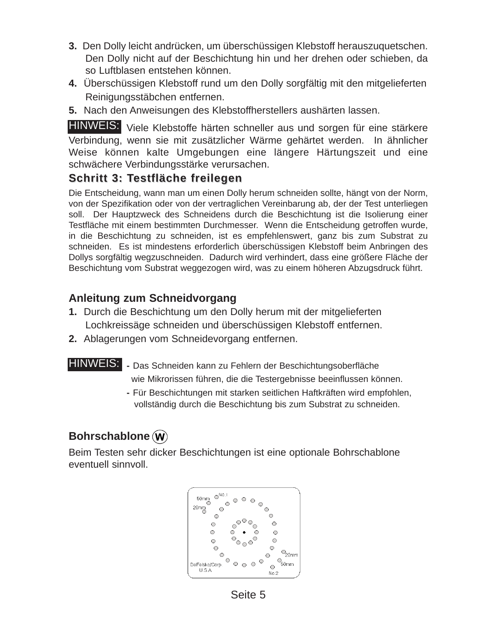- **3.** Den Dolly leicht andrücken, um überschüssigen Klebstoff herauszuquetschen. Den Dolly nicht auf der Beschichtung hin und her drehen oder schieben, da so Luftblasen entstehen können.
- **4.** Überschüssigen Klebstoff rund um den Dolly sorgfältig mit den mitgelieferten Reinigungsstäbchen entfernen.
- **5.** Nach den Anweisungen des Klebstoffherstellers aushärten lassen.

HINWEIS: Viele Klebstoffe härten schneller aus und sorgen für eine stärkere Verbindung, wenn sie mit zusätzlicher Wärme gehärtet werden. In ähnlicher Weise können kalte Umgebungen eine längere Härtungszeit und eine schwächere Verbindungsstärke verursachen.

#### **Schritt 3: Testfläche freilegen Schritt 3: Testfläche freilegen**

Die Entscheidung, wann man um einen Dolly herum schneiden sollte, hängt von der Norm, von der Spezifikation oder von der vertraglichen Vereinbarung ab, der der Test unterliegen soll. Der Hauptzweck des Schneidens durch die Beschichtung ist die Isolierung einer Testfläche mit einem bestimmten Durchmesser. Wenn die Entscheidung getroffen wurde, in die Beschichtung zu schneiden, ist es empfehlenswert, ganz bis zum Substrat zu schneiden. Es ist mindestens erforderlich überschüssigen Klebstoff beim Anbringen des Dollys sorgfältig wegzuschneiden. Dadurch wird verhindert, dass eine größere Fläche der Beschichtung vom Substrat weggezogen wird, was zu einem höheren Abzugsdruck führt.

#### **Anleitung zum Schneidvorgang**

- **1.** Durch die Beschichtung um den Dolly herum mit der mitgelieferten Lochkreissäge schneiden und überschüssigen Klebstoff entfernen.
- **2.** Ablagerungen vom Schneidevorgang entfernen.

- HINWEIS: Das Schneiden kann zu Fehlern der Beschichtungsoberfläche wie Mikrorissen führen, die die Testergebnisse beeinflussen können.
	- **-** Für Beschichtungen mit starken seitlichen Haftkräften wird empfohlen, vollständig durch die Beschichtung bis zum Substrat zu schneiden.

#### **Bohrschablone**

Beim Testen sehr dicker Beschichtungen ist eine optionale Bohrschablone eventuell sinnvoll.



Seite 5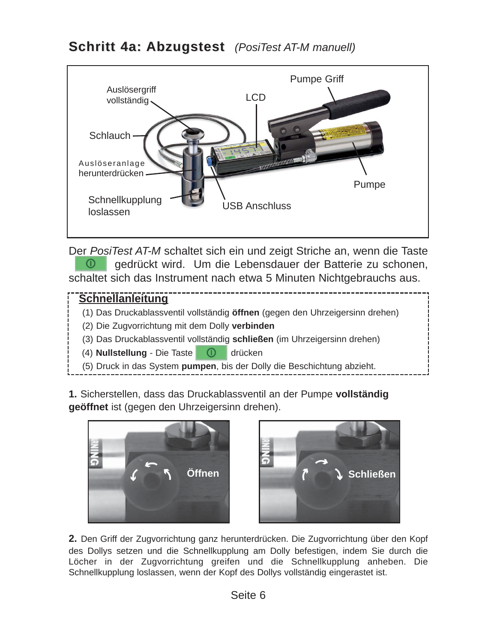

Der *PosiTest AT-M* schaltet sich ein und zeigt Striche an, wenn die Taste  $\circledcirc$ gedrückt wird. Um die Lebensdauer der Batterie zu schonen, schaltet sich das Instrument nach etwa 5 Minuten Nichtgebrauchs aus.

#### **Schnellanleitung**

- (1) Das Druckablassventil vollständig **öffnen** (gegen den Uhrzeigersinn drehen)
- (2) Die Zugvorrichtung mit dem Dolly **verbinden**
- (3) Das Druckablassventil vollständig **schließen** (im Uhrzeigersinn drehen)
- (4) **Nullstellung** Die Taste **Durch drücken**
- (5) Druck in das System **pumpen**, bis der Dolly die Beschichtung abzieht.

**1.** Sicherstellen, dass das Druckablassventil an der Pumpe **vollständig geöffnet** ist (gegen den Uhrzeigersinn drehen).





**2.** Den Griff der Zugvorrichtung ganz herunterdrücken. Die Zugvorrichtung über den Kopf des Dollys setzen und die Schnellkupplung am Dolly befestigen, indem Sie durch die Löcher in der Zugvorrichtung greifen und die Schnellkupplung anheben. Die Schnellkupplung loslassen, wenn der Kopf des Dollys vollständig eingerastet ist.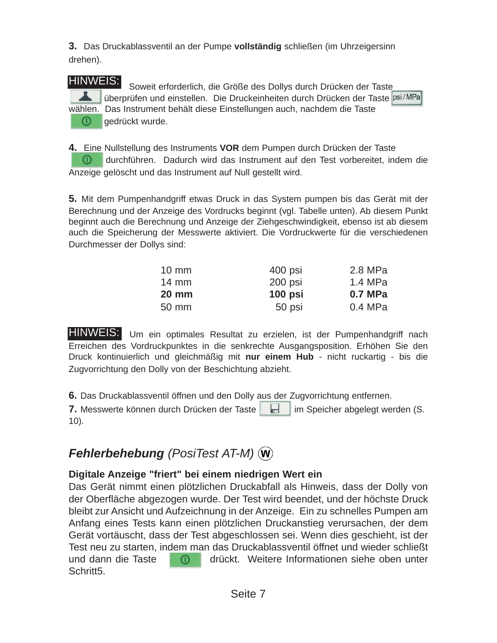**3.** Das Druckablassventil an der Pumpe **vollständig** schließen (im Uhrzeigersinn drehen).

#### HINWEIS:

Soweit erforderlich, die Größe des Dollys durch Drücken der Taste überprüfen und einstellen. Die Druckeinheiten durch Drücken der Taste psi/MPa wählen. Das Instrument behält diese Einstellungen auch, nachdem die Taste ⋒ gedrückt wurde.

**4.** Eine Nullstellung des Instruments **VOR** dem Pumpen durch Drücken der Taste  $\bigcirc$ durchführen. Dadurch wird das Instrument auf den Test vorbereitet, indem die Anzeige gelöscht und das Instrument auf Null gestellt wird.

**5.** Mit dem Pumpenhandgriff etwas Druck in das System pumpen bis das Gerät mit der Berechnung und der Anzeige des Vordrucks beginnt (vgl. Tabelle unten). Ab diesem Punkt beginnt auch die Berechnung und Anzeige der Ziehgeschwindigkeit, ebenso ist ab diesem auch die Speicherung der Messwerte aktiviert. Die Vordruckwerte für die verschiedenen Durchmesser der Dollys sind:

| $10 \text{ mm}$ | 400 psi   | 2.8 MPa |
|-----------------|-----------|---------|
| $14 \text{ mm}$ | 200 psi   | 1.4 MPa |
|                 |           |         |
| <b>20 mm</b>    | $100$ psi | 0.7 MPa |

HINWEIS: Um ein optimales Resultat zu erzielen, ist der Pumpenhandgriff nach Erreichen des Vordruckpunktes in die senkrechte Ausgangsposition. Erhöhen Sie den Druck kontinuierlich und gleichmäßig mit **nur einem Hub** - nicht ruckartig - bis die Zugvorrichtung den Dolly von der Beschichtung abzieht.

**6.** Das Druckablassventil öffnen und den Dolly aus der Zugvorrichtung entfernen.

**7.** Messwerte können durch Drücken der Taste im im Speicher abgelegt werden (S. 10).

## *Fehlerbehebung (PosiTest AT-M)*

#### **Digitale Anzeige "friert" bei einem niedrigen Wert ein**

Das Gerät nimmt einen plötzlichen Druckabfall als Hinweis, dass der Dolly von der Oberfläche abgezogen wurde. Der Test wird beendet, und der höchste Druck bleibt zur Ansicht und Aufzeichnung in der Anzeige. Ein zu schnelles Pumpen am Anfang eines Tests kann einen plötzlichen Druckanstieg verursachen, der dem Gerät vortäuscht, dass der Test abgeschlossen sei. Wenn dies geschieht, ist der Test neu zu starten, indem man das Druckablassventil öffnet und wieder schließt und dann die Taste (ind drückt. Weitere Informationen siehe oben unter Schritt5.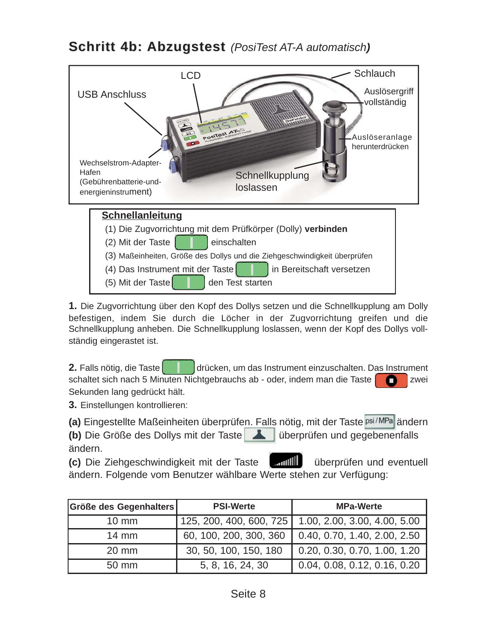**Schritt 4b: Abzugstest** (PosiTest AT-A automatisch)



**1.** Die Zugvorrichtung über den Kopf des Dollys setzen und die Schnellkupplung am Dolly befestigen, indem Sie durch die Löcher in der Zugvorrichtung greifen und die Schnellkupplung anheben. Die Schnellkupplung loslassen, wenn der Kopf des Dollys vollständig eingerastet ist.

**2.** Falls nötig, die Taste drücken, um das Instrument einzuschalten. Das Instrument schaltet sich nach 5 Minuten Nichtgebrauchs ab - oder, indem man die Taste Sekunden lang gedrückt hält.

**3.** Einstellungen kontrollieren:

(a) Eingestellte Maßeinheiten überprüfen. Falls nötig, mit der Taste psi/MPa ändern

**(b)** Die Größe des Dollys mit der Taste überprüfen und gegebenenfalls ändern.

**(c)** Die Ziehgeschwindigkeit mit der Taste **und Einmitten und exentuell** ändern. Folgende vom Benutzer wählbare Werte stehen zur Verfügung:

| Größe des Gegenhalters | <b>PSI-Werte</b>        | <b>MPa-Werte</b>             |
|------------------------|-------------------------|------------------------------|
| $10 \text{ mm}$        | 125, 200, 400, 600, 725 | 1.00, 2.00, 3.00, 4.00, 5.00 |
| $14 \text{ mm}$        | 60, 100, 200, 300, 360  | 0.40, 0.70, 1.40, 2.00, 2.50 |
| 20 mm                  | 30, 50, 100, 150, 180   | 0.20, 0.30, 0.70, 1.00, 1.20 |
| 50 mm                  | 5, 8, 16, 24, 30        | 0.04, 0.08, 0.12, 0.16, 0.20 |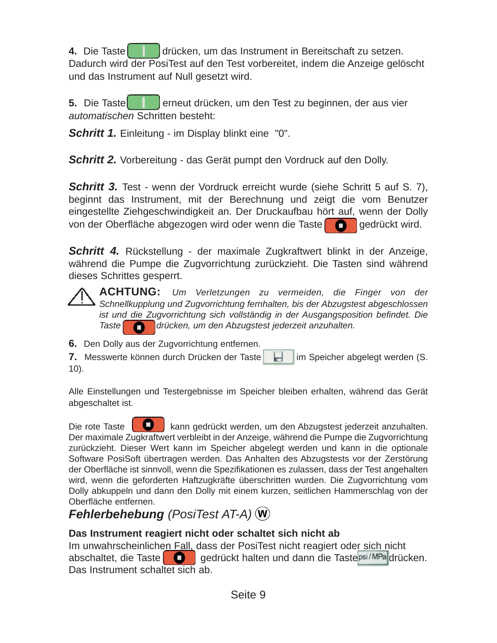**4.** Die Taste drücken, um das Instrument in Bereitschaft zu setzen. Dadurch wird der PosiTest auf den Test vorbereitet, indem die Anzeige gelöscht und das Instrument auf Null gesetzt wird.

**5.** Die Taste **der die eine**ut drücken, um den Test zu beginnen, der aus vier *automatischen* Schritten besteht:

*Schritt 1.* Einleitung - im Display blinkt eine "0".

*Schritt 2.* Vorbereitung - das Gerät pumpt den Vordruck auf den Dolly.

*Schritt 3.* Test - wenn der Vordruck erreicht wurde (siehe Schritt 5 auf S. 7), beginnt das Instrument, mit der Berechnung und zeigt die vom Benutzer eingestellte Ziehgeschwindigkeit an. Der Druckaufbau hört auf, wenn der Dolly von der Oberfläche abgezogen wird oder wenn die Taste

*Schritt 4.* Rückstellung - der maximale Zugkraftwert blinkt in der Anzeige, während die Pumpe die Zugvorrichtung zurückzieht. Die Tasten sind während dieses Schrittes gesperrt.

**ACHTUNG:** *Um Verletzungen zu vermeiden, die Finger von der Schnellkupplung und Zugvorrichtung fernhalten, bis der Abzugstest abgeschlossen ist und die Zugvorrichtung sich vollständig in der Ausgangsposition befindet. Die Taste drücken, um den Abzugstest jederzeit anzuhalten.*

**6.** Den Dolly aus der Zugvorrichtung entfernen.

**7.** Messwerte können durch Drücken der Taste im Speicher abgelegt werden (S. 10).

Alle Einstellungen und Testergebnisse im Speicher bleiben erhalten, während das Gerät abgeschaltet ist.

Die rote Taste **kann gedrückt werden, um den Abzugstest jederzeit anzuhalten.** Der maximale Zugkraftwert verbleibt in der Anzeige, während die Pumpe die Zugvorrichtung zurückzieht. Dieser Wert kann im Speicher abgelegt werden und kann in die optionale Software PosiSoft übertragen werden. Das Anhalten des Abzugstests vor der Zerstörung der Oberfläche ist sinnvoll, wenn die Spezifikationen es zulassen, dass der Test angehalten wird, wenn die geforderten Haftzugkräfte überschritten wurden. Die Zugvorrichtung vom Dolly abkuppeln und dann den Dolly mit einem kurzen, seitlichen Hammerschlag von der Oberfläche entfernen.

## *Fehlerbehebung (PosiTest AT-A)*

#### **Das Instrument reagiert nicht oder schaltet sich nicht ab**

Im unwahrscheinlichen Fall, dass der PosiTest nicht reagiert oder sich nicht abschaltet, die Taste **gedrückt halten und dann die Taste psi/MPa**drücken. Das Instrument schaltet sich ab.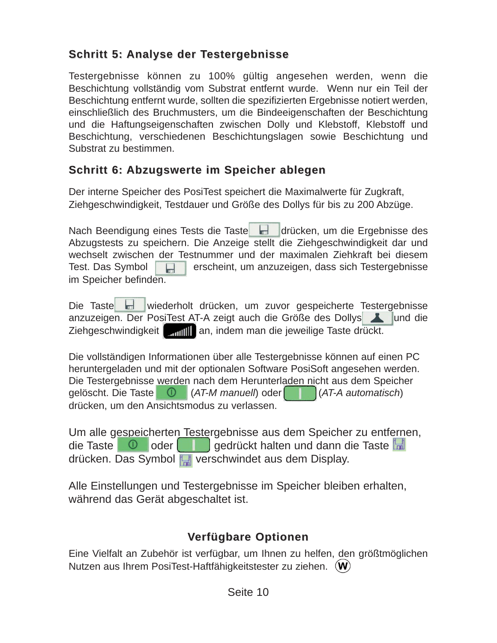#### **Schritt 5: Analyse der Testergebnisse Schritt 5: Analyse der Testergebnisse**

Testergebnisse können zu 100% gültig angesehen werden, wenn die Beschichtung vollständig vom Substrat entfernt wurde. Wenn nur ein Teil der Beschichtung entfernt wurde, sollten die spezifizierten Ergebnisse notiert werden, einschließlich des Bruchmusters, um die Bindeeigenschaften der Beschichtung und die Haftungseigenschaften zwischen Dolly und Klebstoff, Klebstoff und Beschichtung, verschiedenen Beschichtungslagen sowie Beschichtung und Substrat zu bestimmen.

#### **Schritt 6: Abzugswerte im Speicher ablegen**

Der interne Speicher des PosiTest speichert die Maximalwerte für Zugkraft, Ziehgeschwindigkeit, Testdauer und Größe des Dollys für bis zu 200 Abzüge.

Nach Beendigung eines Tests die Taste der drücken, um die Ergebnisse des Abzugstests zu speichern. Die Anzeige stellt die Ziehgeschwindigkeit dar und wechselt zwischen der Testnummer und der maximalen Ziehkraft bei diesem Test. Das Symbol **erscheint**, um anzuzeigen, dass sich Testergebnisse im Speicher befinden.

Die Taste wiederholt drücken, um zuvor gespeicherte Testergebnisse anzuzeigen. Der PosiTest AT-A zeigt auch die Größe des Dollys Ziehgeschwindigkeit **ann man**, indem man die jeweilige Taste drückt.

Die vollständigen Informationen über alle Testergebnisse können auf einen PC heruntergeladen und mit der optionalen Software PosiSoft angesehen werden. Die Testergebnisse werden nach dem Herunterladen nicht aus dem Speicher gelöscht. Die Taste (*AT-M manuell*) oder (*AT-A automatisch*) drücken, um den Ansichtsmodus zu verlassen.

Um alle gespeicherten Testergebnisse aus dem Speicher zu entfernen, die Taste **Oder bedie staat dan die Taste** drücken. Das Symbol verschwindet aus dem Display.

Alle Einstellungen und Testergebnisse im Speicher bleiben erhalten, während das Gerät abgeschaltet ist.

### **Verfügbare Optionen Verfügbare Optionen**

Eine Vielfalt an Zubehör ist verfügbar, um Ihnen zu helfen, den größtmöglichen Nutzen aus Ihrem PosiTest-Haftfähigkeitstester zu ziehen. (W)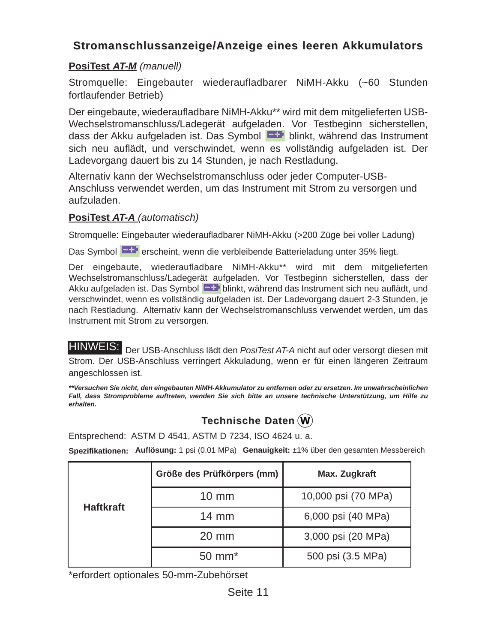#### **Stromanschlussanzeige/Anzeige eines leeren Akkumulators**

#### **PosiTest** *AT-M (manuell)*

Stromquelle: Eingebauter wiederaufladbarer NiMH-Akku (~60 Stunden fortlaufender Betrieb)

Der eingebaute, wiederaufladbare NiMH-Akku\*\* wird mit dem mitgelieferten USB-Wechselstromanschluss/Ladegerät aufgeladen. Vor Testbeginn sicherstellen, dass der Akku aufgeladen ist. Das Symbol **blinkt**, während das Instrument sich neu auflädt, und verschwindet, wenn es vollständig aufgeladen ist. Der Ladevorgang dauert bis zu 14 Stunden, je nach Restladung.

Alternativ kann der Wechselstromanschluss oder jeder Computer-USB-Anschluss verwendet werden, um das Instrument mit Strom zu versorgen und aufzuladen.

#### **PosiTest** *AT-A (automatisch)*

Stromquelle: Eingebauter wiederaufladbarer NiMH-Akku (>200 Züge bei voller Ladung)

Das Symbol **Extimates Symbol erscheint**, wenn die verbleibende Batterieladung unter 35% liegt.

Der eingebaute, wiederaufladbare NiMH-Akku\*\* wird mit dem mitgelieferten Wechselstromanschluss/Ladegerät aufgeladen. Vor Testbeginn sicherstellen, dass der Akku aufgeladen ist. Das Symbol **EHP** blinkt, während das Instrument sich neu auflädt, und verschwindet, wenn es vollständig aufgeladen ist. Der Ladevorgang dauert 2-3 Stunden, je nach Restladung. Alternativ kann der Wechselstromanschluss verwendet werden, um das Instrument mit Strom zu versorgen.

HINWEIS: Der USB-Anschluss lädt den PosiTest AT-A nicht auf oder versorgt diesen mit Strom. Der USB-Anschluss verringert Akkuladung, wenn er für einen längeren Zeitraum angeschlossen ist.

*\*\*Versuchen Sie nicht, den eingebauten NiMH-Akkumulator zu entfernen oder zu ersetzen. Im unwahrscheinlichen Fall, dass Stromprobleme auftreten, wenden Sie sich bitte an unsere technische Unterstützung, um Hilfe zu erhalten.*

#### **Technische Daten Technische Daten**

Entsprechend: ASTM D 4541, ASTM D 7234, ISO 4624 u. a.

**Spezifikationen: Auflösung:** 1 psi (0.01 MPa) **Genauigkeit:** ±1% über den gesamten Messbereich

|                  | Größe des Prüfkörpers (mm) | Max. Zugkraft       |
|------------------|----------------------------|---------------------|
| <b>Haftkraft</b> | $10 \text{ mm}$            | 10,000 psi (70 MPa) |
|                  | $14 \text{ mm}$            | 6,000 psi (40 MPa)  |
|                  | $20 \text{ mm}$            | 3,000 psi (20 MPa)  |
|                  | $50 \text{ mm}^*$          | 500 psi (3.5 MPa)   |

\*erfordert optionales 50-mm-Zubehörset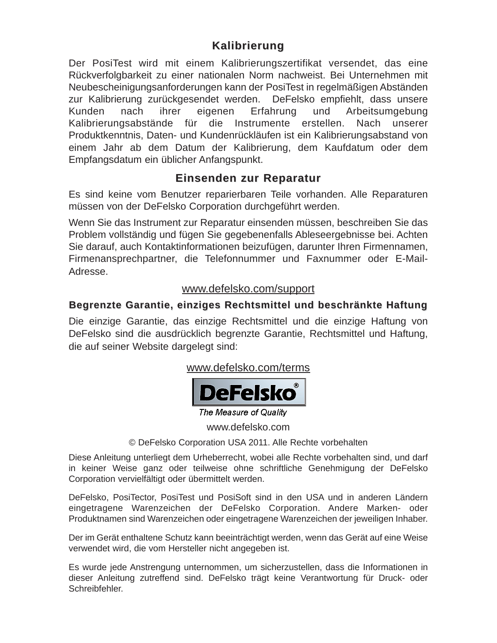#### **Kalibrierung Kalibrierung**

Der PosiTest wird mit einem Kalibrierungszertifikat versendet, das eine Rückverfolgbarkeit zu einer nationalen Norm nachweist. Bei Unternehmen mit Neubescheinigungsanforderungen kann der PosiTest in regelmäßigen Abständen zur Kalibrierung zurückgesendet werden. DeFelsko empfiehlt, dass unsere Kunden nach ihrer eigenen Erfahrung und Arbeitsumgebung Kalibrierungsabstände für die Instrumente erstellen. Nach unserer Produktkenntnis, Daten- und Kundenrückläufen ist ein Kalibrierungsabstand von einem Jahr ab dem Datum der Kalibrierung, dem Kaufdatum oder dem Empfangsdatum ein üblicher Anfangspunkt.

#### **Einsenden zur Reparatur Einsenden zur Reparatur**

Es sind keine vom Benutzer reparierbaren Teile vorhanden. Alle Reparaturen müssen von der DeFelsko Corporation durchgeführt werden.

Wenn Sie das Instrument zur Reparatur einsenden müssen, beschreiben Sie das Problem vollständig und fügen Sie gegebenenfalls Ableseergebnisse bei. Achten Sie darauf, auch Kontaktinformationen beizufügen, darunter Ihren Firmennamen, Firmenansprechpartner, die Telefonnummer und Faxnummer oder E-Mail-Adresse.

#### www.defelsko.com/support

#### **Begrenzte Garantie, einziges Rechtsmittel und beschränkte Haftung Begrenzte Garantie, einziges Rechtsmittel und beschränkte Haftung**

Die einzige Garantie, das einzige Rechtsmittel und die einzige Haftung von DeFelsko sind die ausdrücklich begrenzte Garantie, Rechtsmittel und Haftung, die auf seiner Website dargelegt sind:

#### www.defelsko.com/terms



The Measure of Quality

www.defelsko.com

© DeFelsko Corporation USA 2011. Alle Rechte vorbehalten

Diese Anleitung unterliegt dem Urheberrecht, wobei alle Rechte vorbehalten sind, und darf in keiner Weise ganz oder teilweise ohne schriftliche Genehmigung der DeFelsko Corporation vervielfältigt oder übermittelt werden.

DeFelsko, PosiTector, PosiTest und PosiSoft sind in den USA und in anderen Ländern eingetragene Warenzeichen der DeFelsko Corporation. Andere Marken- oder Produktnamen sind Warenzeichen oder eingetragene Warenzeichen der jeweiligen Inhaber.

Der im Gerät enthaltene Schutz kann beeinträchtigt werden, wenn das Gerät auf eine Weise verwendet wird, die vom Hersteller nicht angegeben ist.

Es wurde jede Anstrengung unternommen, um sicherzustellen, dass die Informationen in dieser Anleitung zutreffend sind. DeFelsko trägt keine Verantwortung für Druck- oder Schreibfehler.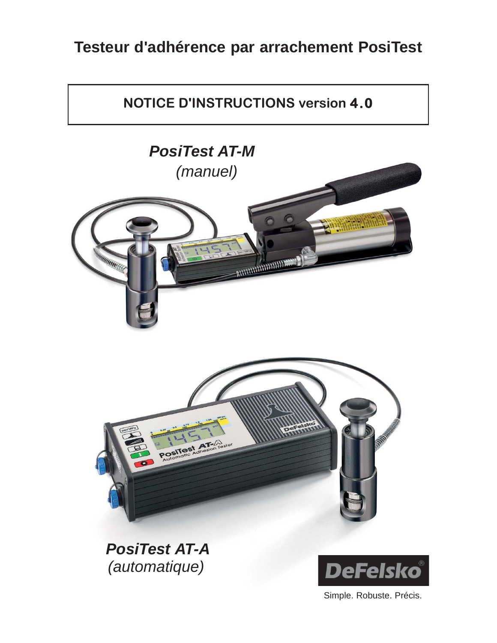## **Testeur d'adhérence par arrachement PosiTest**



Simple. Robuste. Précis.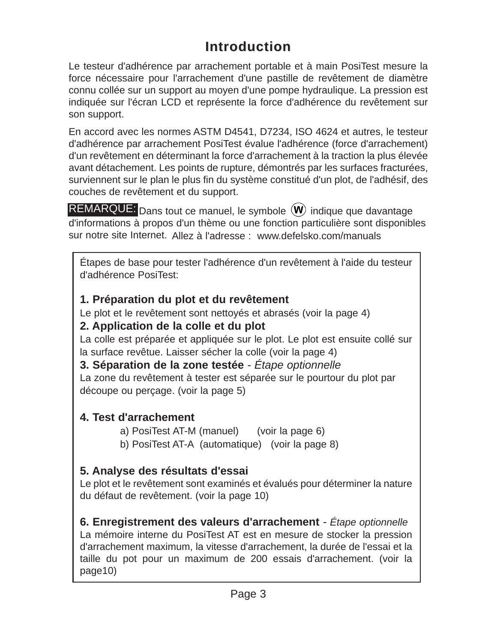## **Introduction Introduction**

Le testeur d'adhérence par arrachement portable et à main PosiTest mesure la force nécessaire pour l'arrachement d'une pastille de revêtement de diamètre connu collée sur un support au moyen d'une pompe hydraulique. La pression est indiquée sur l'écran LCD et représente la force d'adhérence du revêtement sur son support.

En accord avec les normes ASTM D4541, D7234, ISO 4624 et autres, le testeur d'adhérence par arrachement PosiTest évalue l'adhérence (force d'arrachement) d'un revêtement en déterminant la force d'arrachement à la traction la plus élevée avant détachement. Les points de rupture, démontrés par les surfaces fracturées, surviennent sur le plan le plus fin du système constitué d'un plot, de l'adhésif, des couches de revêtement et du support.

REMARQUE: Dans tout ce manuel, le symbole  $(\mathbf{W})$  indique que davantage d'informations à propos d'un thème ou une fonction particulière sont disponibles sur notre site Internet. Allez à l'adresse : www.defelsko.com/manuals

Étapes de base pour tester l'adhérence d'un revêtement à l'aide du testeur d'adhérence PosiTest:

#### **1. Préparation du plot et du revêtement**

Le plot et le revêtement sont nettoyés et abrasés (voir la page 4)

#### **2. Application de la colle et du plot**

La colle est préparée et appliquée sur le plot. Le plot est ensuite collé sur la surface revêtue. Laisser sécher la colle (voir la page 4)

**3. Séparation de la zone testée** *- Étape optionnelle*

La zone du revêtement à tester est séparée sur le pourtour du plot par découpe ou perçage. (voir la page 5)

#### **4. Test d'arrachement**

- a) PosiTest AT-M (manuel) (voir la page 6)
- b) PosiTest AT-A (automatique) (voir la page 8)

#### **5. Analyse des résultats d'essai**

Le plot et le revêtement sont examinés et évalués pour déterminer la nature du défaut de revêtement. (voir la page 10)

**6. Enregistrement des valeurs d'arrachement** *- Étape optionnelle* La mémoire interne du PosiTest AT est en mesure de stocker la pression d'arrachement maximum, la vitesse d'arrachement, la durée de l'essai et la taille du pot pour un maximum de 200 essais d'arrachement. (voir la page10)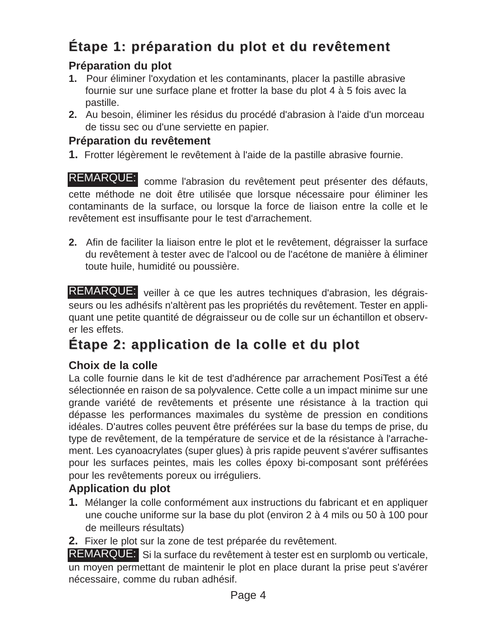## **Étape 1: préparation du plot et du revêtement Étape 1: préparation du plot et du revêtement**

#### **Préparation du plot**

- **1.** Pour éliminer l'oxydation et les contaminants, placer la pastille abrasive fournie sur une surface plane et frotter la base du plot 4 à 5 fois avec la pastille.
- **2.** Au besoin, éliminer les résidus du procédé d'abrasion à l'aide d'un morceau de tissu sec ou d'une serviette en papier.

#### **Préparation du revêtement**

**1.** Frotter légèrement le revêtement à l'aide de la pastille abrasive fournie.

REMARQUE: comme l'abrasion du revêtement peut présenter des défauts, cette méthode ne doit être utilisée que lorsque nécessaire pour éliminer les contaminants de la surface, ou lorsque la force de liaison entre la colle et le revêtement est insuffisante pour le test d'arrachement.

**2.** Afin de faciliter la liaison entre le plot et le revêtement, dégraisser la surface du revêtement à tester avec de l'alcool ou de l'acétone de manière à éliminer toute huile, humidité ou poussière.

REMARQUE: veiller à ce que les autres techniques d'abrasion, les dégraisseurs ou les adhésifs n'altèrent pas les propriétés du revêtement. Tester en appliquant une petite quantité de dégraisseur ou de colle sur un échantillon et observer les effets.

## **Étape 2: application de la colle et du plot Étape 2: application de la colle et du plot**

#### **Choix de la colle**

La colle fournie dans le kit de test d'adhérence par arrachement PosiTest a été sélectionnée en raison de sa polyvalence. Cette colle a un impact minime sur une grande variété de revêtements et présente une résistance à la traction qui dépasse les performances maximales du système de pression en conditions idéales. D'autres colles peuvent être préférées sur la base du temps de prise, du type de revêtement, de la température de service et de la résistance à l'arrachement. Les cyanoacrylates (super glues) à pris rapide peuvent s'avérer suffisantes pour les surfaces peintes, mais les colles époxy bi-composant sont préférées pour les revêtements poreux ou irréguliers.

#### **Application du plot**

- **1.** Mélanger la colle conformément aux instructions du fabricant et en appliquer une couche uniforme sur la base du plot (environ 2 à 4 mils ou 50 à 100 pour de meilleurs résultats)
- **2.** Fixer le plot sur la zone de test préparée du revêtement.

REMARQUE: Si la surface du revêtement à tester est en surplomb ou verticale, un moyen permettant de maintenir le plot en place durant la prise peut s'avérer nécessaire, comme du ruban adhésif.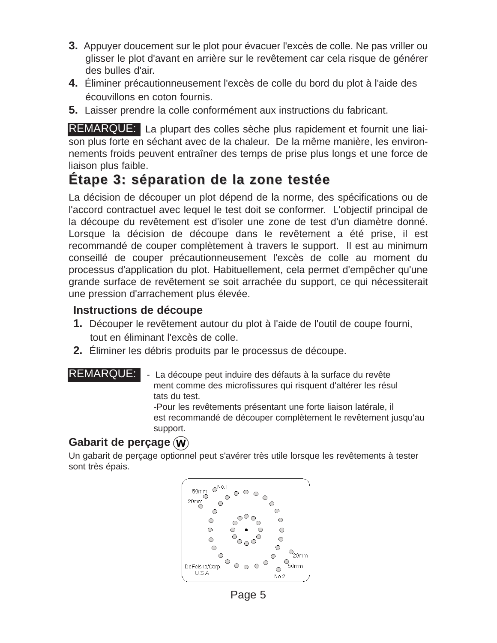- **3.** Appuyer doucement sur le plot pour évacuer l'excès de colle. Ne pas vriller ou glisser le plot d'avant en arrière sur le revêtement car cela risque de générer des bulles d'air.
- **4.** Éliminer précautionneusement l'excès de colle du bord du plot à l'aide des écouvillons en coton fournis.
- **5.** Laisser prendre la colle conformément aux instructions du fabricant.

REMARQUE: La plupart des colles sèche plus rapidement et fournit une liaison plus forte en séchant avec de la chaleur. De la même manière, les environnements froids peuvent entraîner des temps de prise plus longs et une force de liaison plus faible.

## **Étape 3: séparation de la zone testée Étape 3: séparation de la zone testée**

La décision de découper un plot dépend de la norme, des spécifications ou de l'accord contractuel avec lequel le test doit se conformer. L'objectif principal de la découpe du revêtement est d'isoler une zone de test d'un diamètre donné. Lorsque la décision de découpe dans le revêtement a été prise, il est recommandé de couper complètement à travers le support. Il est au minimum conseillé de couper précautionneusement l'excès de colle au moment du processus d'application du plot. Habituellement, cela permet d'empêcher qu'une grande surface de revêtement se soit arrachée du support, ce qui nécessiterait une pression d'arrachement plus élevée.

#### **Instructions de découpe**

- **1.** Découper le revêtement autour du plot à l'aide de l'outil de coupe fourni, tout en éliminant l'excès de colle.
- **2.** Éliminer les débris produits par le processus de découpe.

#### REMARQUE:

- La découpe peut induire des défauts à la surface du revête ment comme des microfissures qui risquent d'altérer les résul tats du test.

-Pour les revêtements présentant une forte liaison latérale, il est recommandé de découper complètement le revêtement jusqu'au support.

#### **Gabarit de perçage**

Un gabarit de perçage optionnel peut s'avérer très utile lorsque les revêtements à tester sont très épais.



Page 5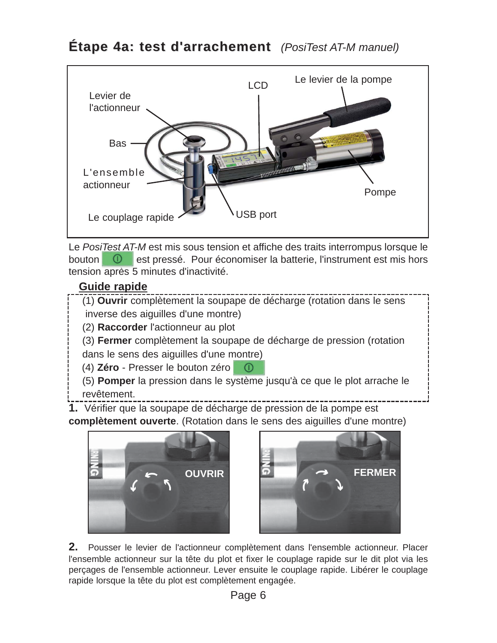## Étape 4a: test d'arrachement *(PosiTest AT-M manuel)*



Le *PosiTest AT-M* est mis sous tension et affiche des traits interrompus lorsque le bouton <sup>o</sup> est pressé. Pour économiser la batterie, l'instrument est mis hors tension après 5 minutes d'inactivité.

#### **Guide rapide**

- (1) **Ouvrir** complètement la soupape de décharge (rotation dans le sens inverse des aiguilles d'une montre)
- (2) **Raccorder** l'actionneur au plot
- (3) **Fermer** complètement la soupape de décharge de pression (rotation dans le sens des aiguilles d'une montre)
- (4) **Zéro**  Presser le bouton zéro  $\bigcirc$
- (5) **Pomper** la pression dans le système jusqu'à ce que le plot arrache le revêtement.
- **1.** Vérifier que la soupape de décharge de pression de la pompe est **complètement ouverte**. (Rotation dans le sens des aiguilles d'une montre)





**2.** Pousser le levier de l'actionneur complètement dans l'ensemble actionneur. Placer l'ensemble actionneur sur la tête du plot et fixer le couplage rapide sur le dit plot via les perçages de l'ensemble actionneur. Lever ensuite le couplage rapide. Libérer le couplage rapide lorsque la tête du plot est complètement engagée.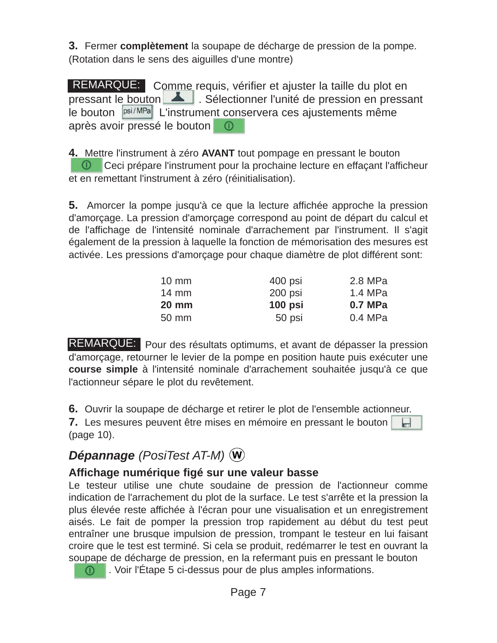**3.** Fermer **complètement** la soupape de décharge de pression de la pompe. (Rotation dans le sens des aiguilles d'une montre)

REMARQUE: Comme requis, vérifier et ajuster la taille du plot en pressant le bouton  $\Box$ . Sélectionner l'unité de pression en pressant le bouton  $|psi|^{\text{psi/MPa}}$  L'instrument conservera ces ajustements même après avoir pressé le bouton

**4.** Mettre l'instrument à zéro **AVANT** tout pompage en pressant le bouton **O** Ceci prépare l'instrument pour la prochaine lecture en effaçant l'afficheur et en remettant l'instrument à zéro (réinitialisation).

**5.** Amorcer la pompe jusqu'à ce que la lecture affichée approche la pression d'amorçage. La pression d'amorçage correspond au point de départ du calcul et de l'affichage de l'intensité nominale d'arrachement par l'instrument. Il s'agit également de la pression à laquelle la fonction de mémorisation des mesures est activée. Les pressions d'amorçage pour chaque diamètre de plot différent sont:

| $10 \text{ mm}$ | 400 psi   | 2.8 MPa   |
|-----------------|-----------|-----------|
| $14 \text{ mm}$ | 200 psi   | 1.4 MPa   |
| <b>20 mm</b>    | $100$ psi | 0.7 MPa   |
| 50 mm           | 50 psi    | $0.4$ MPa |

REMARQUE: Pour des résultats optimums, et avant de dépasser la pression d'amorçage, retourner le levier de la pompe en position haute puis exécuter une **course simple** à l'intensité nominale d'arrachement souhaitée jusqu'à ce que l'actionneur sépare le plot du revêtement.

**6.** Ouvrir la soupape de décharge et retirer le plot de l'ensemble actionneur.

**7.** Les mesures peuvent être mises en mémoire en pressant le bouton (page 10).

## *Dépannage (PosiTest AT-M)*

#### **Affichage numérique figé sur une valeur basse**

Le testeur utilise une chute soudaine de pression de l'actionneur comme indication de l'arrachement du plot de la surface. Le test s'arrête et la pression la plus élevée reste affichée à l'écran pour une visualisation et un enregistrement aisés. Le fait de pomper la pression trop rapidement au début du test peut entraîner une brusque impulsion de pression, trompant le testeur en lui faisant croire que le test est terminé. Si cela se produit, redémarrer le test en ouvrant la soupape de décharge de pression, en la refermant puis en pressant le bouton

**0** Coir l'Étape 5 ci-dessus pour de plus amples informations.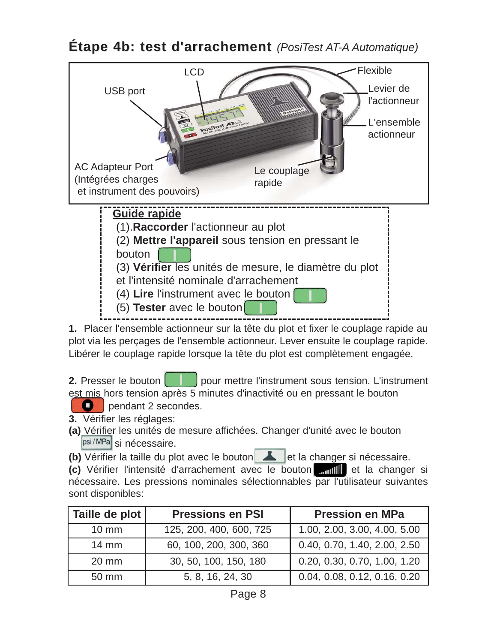**Étape 4b: test d'arrachement** *(PosiTest AT-A Automatique)* 



**1.** Placer l'ensemble actionneur sur la tête du plot et fixer le couplage rapide au plot via les perçages de l'ensemble actionneur. Lever ensuite le couplage rapide. Libérer le couplage rapide lorsque la tête du plot est complètement engagée.

**2.** Presser le bouton **pour mettre la lingulate la construment** sous tension. L'instrument est mis hors tension après 5 minutes d'inactivité ou en pressant le bouton

 $\bullet$ pendant 2 secondes.

**3.** Vérifier les réglages:

**(a)** Vérifier les unités de mesure affichées. Changer d'unité avec le bouton psi/MPa si nécessaire.

**(b)** Vérifier la taille du plot avec le bouton et la changer si nécessaire.

**(c)** Vérifier l'intensité d'arrachement avec le bouton **d'arrille** et la changer si nécessaire. Les pressions nominales sélectionnables par l'utilisateur suivantes sont disponibles:

| Taille de plot  | <b>Pressions en PSI</b> | <b>Pression en MPa</b>       |
|-----------------|-------------------------|------------------------------|
| $10 \text{ mm}$ | 125, 200, 400, 600, 725 | 1.00, 2.00, 3.00, 4.00, 5.00 |
| $14 \text{ mm}$ | 60, 100, 200, 300, 360  | 0.40, 0.70, 1.40, 2.00, 2.50 |
| 20 mm           | 30, 50, 100, 150, 180   | 0.20, 0.30, 0.70, 1.00, 1.20 |
| 50 mm           | 5, 8, 16, 24, 30        | 0.04, 0.08, 0.12, 0.16, 0.20 |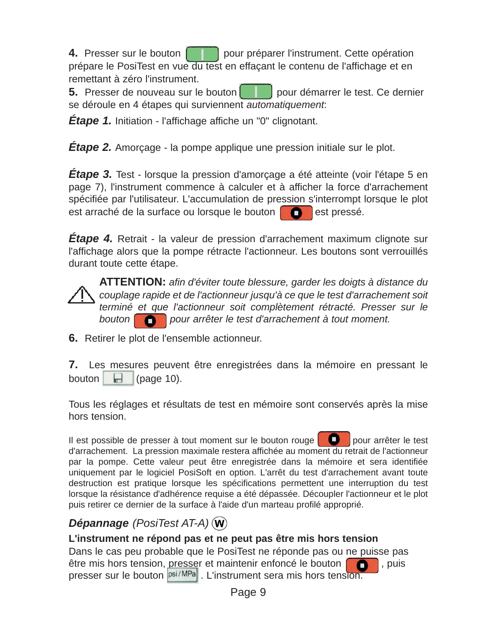**4.** Presser sur le bouton **pour préparer** l'instrument. Cette opération prépare le PosiTest en vue du test en effaçant le contenu de l'affichage et en remettant à zéro l'instrument.

**5.** Presser de nouveau sur le bouton pour démarrer le test. Ce dernier se déroule en 4 étapes qui surviennent *automatiquement*:

*Étape 1.* Initiation - l'affichage affiche un "0" clignotant.

**Étape 2.** Amorçage - la pompe applique une pression initiale sur le plot.

*Étape 3.* Test - lorsque la pression d'amorçage a été atteinte (voir l'étape 5 en page 7), l'instrument commence à calculer et à afficher la force d'arrachement spécifiée par l'utilisateur. L'accumulation de pression s'interrompt lorsque le plot est arraché de la surface ou lorsque le bouton **de la** est pressé.

*Étape 4.* Retrait - la valeur de pression d'arrachement maximum clignote sur l'affichage alors que la pompe rétracte l'actionneur. Les boutons sont verrouillés durant toute cette étape.



**ATTENTION:** *afin d'éviter toute blessure, garder les doigts à distance du couplage rapide et de l'actionneur jusqu'à ce que le test d'arrachement soit terminé et que l'actionneur soit complètement rétracté. Presser sur le* bouton **pour arrêter le test d'arrachement à tout moment.** 

**6.** Retirer le plot de l'ensemble actionneur.

**7.** Les mesures peuvent être enregistrées dans la mémoire en pressant le bouton  $\Box$  (page 10).

Tous les réglages et résultats de test en mémoire sont conservés après la mise hors tension.

Il est possible de presser à tout moment sur le bouton rouge  $\Box$  pour arrêter le test d'arrachement. La pression maximale restera affichée au moment du retrait de l'actionneur par la pompe. Cette valeur peut être enregistrée dans la mémoire et sera identifiée uniquement par le logiciel PosiSoft en option. L'arrêt du test d'arrachement avant toute destruction est pratique lorsque les spécifications permettent une interruption du test lorsque la résistance d'adhérence requise a été dépassée. Découpler l'actionneur et le plot puis retirer ce dernier de la surface à l'aide d'un marteau profilé approprié.

### *Dépannage (PosiTest AT-A)*

#### **L'instrument ne répond pas et ne peut pas être mis hors tension**

Dans le cas peu probable que le PosiTest ne réponde pas ou ne puisse pas être mis hors tension, presser et maintenir enfoncé le bouton  $\Box$ , puis presser sur le bouton  $|\text{psi}/\text{MPa}|$ . L'instrument sera mis hors tension.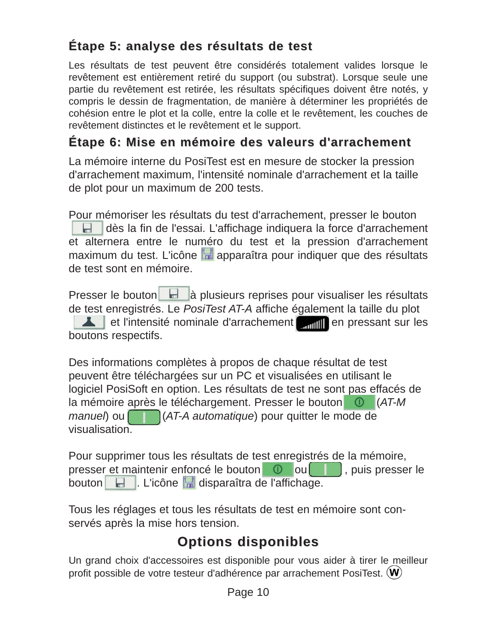## **Étape 5: analyse des résultats de test Étape 5: analyse des résultats de test**

Les résultats de test peuvent être considérés totalement valides lorsque le revêtement est entièrement retiré du support (ou substrat). Lorsque seule une partie du revêtement est retirée, les résultats spécifiques doivent être notés, y compris le dessin de fragmentation, de manière à déterminer les propriétés de cohésion entre le plot et la colle, entre la colle et le revêtement, les couches de revêtement distinctes et le revêtement et le support.

## **Étape 6: Mise en mémoire des valeurs d'arrachement Étape 6: Mise en mémoire des valeurs d'arrachement**

La mémoire interne du PosiTest est en mesure de stocker la pression d'arrachement maximum, l'intensité nominale d'arrachement et la taille de plot pour un maximum de 200 tests.

Pour mémoriser les résultats du test d'arrachement, presser le bouton dès la fin de l'essai. L'affichage indiquera la force d'arrachement et alternera entre le numéro du test et la pression d'arrachement maximum du test. L'icône  $\mathbb{R}$  apparaîtra pour indiquer que des résultats de test sont en mémoire.

Presser le bouton du la plusieurs reprises pour visualiser les résultats de test enregistrés. Le *PosiTest AT-A* affiche également la taille du plot et l'intensité nominale d'arrachement **en pressant sur les** boutons respectifs.

Des informations complètes à propos de chaque résultat de test peuvent être téléchargées sur un PC et visualisées en utilisant le logiciel PosiSoft en option. Les résultats de test ne sont pas effacés de la mémoire après le téléchargement. Presser le bouton (*AT-M manuel*) ou (*AT-A automatique*) pour quitter le mode de visualisation.

Pour supprimer tous les résultats de test enregistrés de la mémoire, presser et maintenir enfoncé le bouton 0 ou de , puis presser le bouton . L'icône disparaîtra de l'affichage.

Tous les réglages et tous les résultats de test en mémoire sont conservés après la mise hors tension.

## **Options disponibles Options disponibles**

Un grand choix d'accessoires est disponible pour vous aider à tirer le meilleur profit possible de votre testeur d'adhérence par arrachement PosiTest.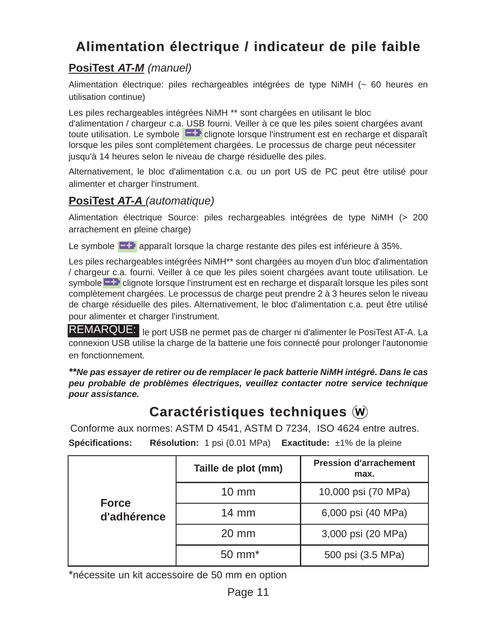## **Alimentation électrique / indicateur de pile faible Alimentation électrique / indicateur de pile faible**

#### **PosiTest** *AT-M (manuel)*

Alimentation électrique: piles rechargeables intégrées de type NiMH (~ 60 heures en utilisation continue)

Les piles rechargeables intégrées NiMH<sup>\*\*</sup> sont chargées en utilisant le bloc d'alimentation / chargeur c.a. USB fourni. Veiller à ce que les piles soient chargées avant toute utilisation. Le symbole  $\Box$  clignote lorsque l'instrument est en recharge et disparaît lorsque les piles sont complètement chargées. Le processus de charge peut nécessiter jusqu'à 14 heures selon le niveau de charge résiduelle des piles.

Alternativement, le bloc d'alimentation c.a. ou un port US de PC peut être utilisé pour alimenter et charger l'instrument.

#### **PosiTest** *AT-A (automatique)*

Alimentation électrique Source: piles rechargeables intégrées de type NiMH (> 200 arrachement en pleine charge)

Le symbole  $\Box$  apparaît lorsque la charge restante des piles est inférieure à 35%.

Les piles rechargeables intégrées NiMH<sup>\*\*</sup> sont chargées au moyen d'un bloc d'alimentation / chargeur c.a. fourni. Veiller à ce que les piles soient chargées avant toute utilisation. Le symbole **coll** clignote lorsque l'instrument est en recharge et disparaît lorsque les piles sont complètement chargées. Le processus de charge peut prendre 2 à 3 heures selon le niveau de charge résiduelle des piles. Alternativement, le bloc d'alimentation c.a. peut être utilisé pour alimenter et charger l'instrument.

REMARQUE: le port USB ne permet pas de charger ni d'alimenter le PosiTest AT-A. La connexion USB utilise la charge de la batterie une fois connecté pour prolonger l'autonomie en fonctionnement.

*\*\*Ne pas essayer de retirer ou de remplacer le pack batterie NiMH intégré. Dans le cas peu probable de problèmes électriques, veuillez contacter notre service technique pour assistance.*

## **Caractéristiques techniques**  $\hat{w}$

Conforme aux normes: ASTM D 4541, ASTM D 7234, ISO 4624 entre autres.

**Spécifications: Résolution:** 1 psi (0.01 MPa) **Exactitude:** ±1% de la pleine

|              | Taille de plot (mm) | <b>Pression d'arrachement</b><br>max. |
|--------------|---------------------|---------------------------------------|
| <b>Force</b> | $10 \text{ mm}$     | 10,000 psi (70 MPa)                   |
| d'adhérence  | $14 \text{ mm}$     | 6,000 psi (40 MPa)                    |
|              | $20 \text{ mm}$     | 3,000 psi (20 MPa)                    |
|              | $50 \text{ mm}^*$   | 500 psi (3.5 MPa)                     |

\*nécessite un kit accessoire de 50 mm en option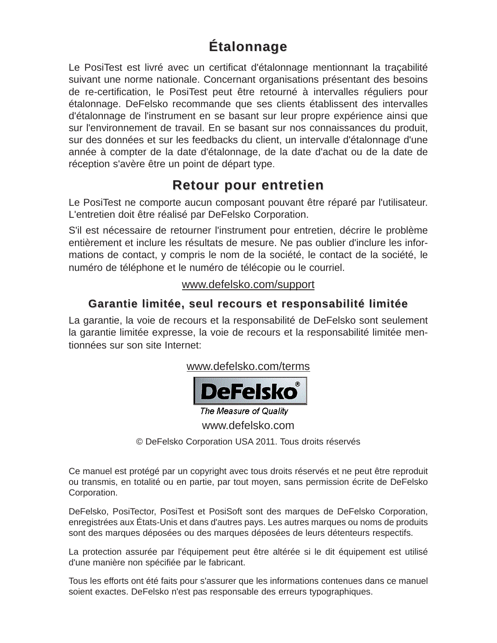## **Étalonnage Étalonnage**

Le PosiTest est livré avec un certificat d'étalonnage mentionnant la traçabilité suivant une norme nationale. Concernant organisations présentant des besoins de re-certification, le PosiTest peut être retourné à intervalles réguliers pour étalonnage. DeFelsko recommande que ses clients établissent des intervalles d'étalonnage de l'instrument en se basant sur leur propre expérience ainsi que sur l'environnement de travail. En se basant sur nos connaissances du produit, sur des données et sur les feedbacks du client, un intervalle d'étalonnage d'une année à compter de la date d'étalonnage, de la date d'achat ou de la date de réception s'avère être un point de départ type.

## **Retour pour entretien Retour pour entretien**

Le PosiTest ne comporte aucun composant pouvant être réparé par l'utilisateur. L'entretien doit être réalisé par DeFelsko Corporation.

S'il est nécessaire de retourner l'instrument pour entretien, décrire le problème entièrement et inclure les résultats de mesure. Ne pas oublier d'inclure les informations de contact, y compris le nom de la société, le contact de la société, le numéro de téléphone et le numéro de télécopie ou le courriel.

#### www.defelsko.com/support

#### **Garantie limitée, seul recours et responsabilité limitée Garantie limitée, seul recours et responsabilité limitée**

La garantie, la voie de recours et la responsabilité de DeFelsko sont seulement la garantie limitée expresse, la voie de recours et la responsabilité limitée mentionnées sur son site Internet:

www.defelsko.com/terms



The Measure of Quality

www.defelsko.com

© DeFelsko Corporation USA 2011. Tous droits réservés

Ce manuel est protégé par un copyright avec tous droits réservés et ne peut être reproduit ou transmis, en totalité ou en partie, par tout moyen, sans permission écrite de DeFelsko Corporation.

DeFelsko, PosiTector, PosiTest et PosiSoft sont des marques de DeFelsko Corporation, enregistrées aux États-Unis et dans d'autres pays. Les autres marques ou noms de produits sont des marques déposées ou des marques déposées de leurs détenteurs respectifs.

La protection assurée par l'équipement peut être altérée si le dit équipement est utilisé d'une manière non spécifiée par le fabricant.

Tous les efforts ont été faits pour s'assurer que les informations contenues dans ce manuel soient exactes. DeFelsko n'est pas responsable des erreurs typographiques.